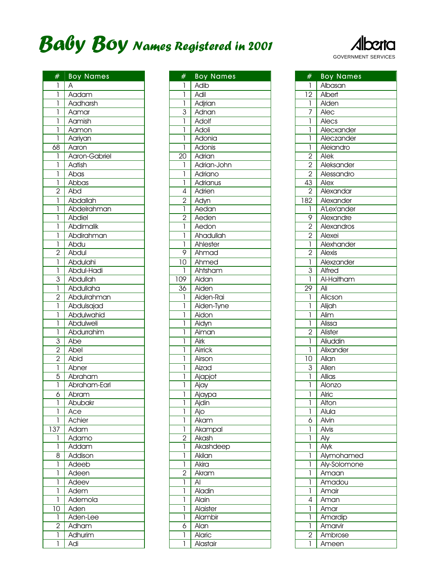

| #                           | <b>Boy Names</b> |
|-----------------------------|------------------|
| 1                           | Α                |
| ī                           | Aadam            |
| 1                           | Aadharsh         |
| 1                           | Aamar            |
| 1                           | Aamish           |
| 1                           | Aamon            |
| ľ                           | Aariyan          |
| 68                          | Aaron            |
| 1                           | Aaron-Gabriel    |
|                             |                  |
| 1                           | Aatish           |
| Ī                           | Abas             |
| ī                           | Abbas            |
| $\overline{2}$              | Abd              |
| 1                           | Abdallah         |
| 1                           | Abdelrahman      |
| 1                           | Abdiel           |
| 1                           | Abdimalik        |
| $\overline{1}$              | Abdirahman       |
| $\overline{1}$              | Abdu             |
|                             | Abdul            |
| $\frac{2}{1}$               | Abdulahi         |
| ī                           | Abdul-Hadi       |
| $\overline{3}$              | Abdullah         |
| $\overline{1}$              | Abdullaha        |
|                             | Abdulrahman      |
| $\frac{2}{1}$               | Abdulsajad       |
| 1                           |                  |
|                             | Abdulwahid       |
| 1                           | Abdulweli        |
| Ī                           | Abdurrahim       |
| $\frac{3}{2}$ $\frac{2}{1}$ | Abe              |
|                             | Abel             |
|                             | Abid             |
|                             | Abner            |
| $\overline{5}$              | Abraham          |
| ı                           | Abraham-Earl     |
| 6                           | Abram            |
| 1                           | Abubakr          |
| 1                           | Ace              |
| 1                           | Achier           |
| 137                         | Adam             |
| 1                           | Adamo            |
| 1                           | Addam            |
| 8                           | Addison          |
| 1                           | Adeeb            |
| 1                           | Adeen            |
| 1                           | Adeev            |
| 1                           | Adem             |
| 1                           | Ademola          |
|                             |                  |
| 10                          | Aden             |
| $\mathbf{I}$                | Aden-Lee         |
| $\overline{2}$              | Adham            |
| 1                           | Adhurim          |
| 1                           | Adi              |

| #                       | <b>Boy Names</b> |
|-------------------------|------------------|
| 1                       | Adib             |
| $\overline{\mathbf{I}}$ | Adil             |
| 1                       | Adjrian          |
| 3                       | Adnan            |
| 1                       | Adolf            |
| 1                       | Adoli            |
| 1                       | Adonia           |
| 1                       | Adonis           |
| 20                      | Adrian           |
| 1                       | Adrian-John      |
| 1                       | Adriano          |
| ľ                       | Adrianus         |
| 4                       | Adrien           |
|                         |                  |
| $\overline{c}$          | Adyn             |
| Ī                       | Aedan            |
| $\overline{2}$          | Aeden            |
| 1                       | Aedon            |
| 1                       | Ahadullah        |
| 1                       | Ahlester         |
| 9                       | Ahmad            |
| 10                      | Ahmed            |
| 1                       | Ahtsham          |
| 109                     | Aidan            |
| 36                      | Aiden            |
| 1                       | Aiden-Rai        |
| 1                       | Aiden-Tyne       |
| 1                       | Aidon            |
| 1                       | Aidyn            |
| 1                       | Aiman            |
| 1                       | Airk             |
| 1                       | Airrick          |
| 1                       | Airson           |
| 1                       | Aizad            |
| 1                       | Ajapjot          |
| 1                       | Ajay             |
| $\overline{1}$          | Aja <u>ypa</u>   |
| 1                       | Ajdin            |
| 1                       | Ajo              |
| 1                       | Akam             |
| 1                       | Akampal          |
| 2                       | Akash            |
| 1                       | Akashdeep        |
| 1                       | Akilan           |
| 1                       | Akira            |
| 2                       | Akram            |
| 1                       | Al               |
| 1                       | Aladin           |
|                         | Alain            |
| 1                       |                  |
| 1                       | Alaister         |
| 1                       | Alambir          |
| 6                       | Alan             |
| 1                       | <b>Alaric</b>    |
| 1                       | Alastair         |

| #               | <b>Boy Names</b> |
|-----------------|------------------|
| 1               | Albasan          |
| $\overline{12}$ | Albert           |
| 1               | Alden            |
| 7               | Alec             |
| ľ               |                  |
|                 | Alecs            |
| 1               | Alecxander       |
| 1               | Aleczander       |
| ī               | Aleiandro        |
| $\overline{2}$  | Alek             |
| $\overline{c}$  | Aleksander       |
| $\overline{2}$  | Alessandro       |
| $\overline{43}$ | Alex             |
| 2               | Alexandar        |
|                 |                  |
| 182             | Alexander        |
| 1               | A'Lex'ander      |
| 9               | Alexandre        |
| $\overline{2}$  | Alexandros       |
|                 | Alexei           |
| $\frac{2}{1}$   | Alexhander       |
| $\overline{2}$  | Alexis           |
| $\mathbf{I}$    | Alexzander       |
| 3               | Alfred           |
| $\mathbf{I}$    | Al-Haitham       |
|                 |                  |
| $\overline{29}$ | Ali              |
| 1               | Alicson          |
| 1               | Alijah           |
| 1               | Alim             |
| 1               | Alissa           |
| $\overline{2}$  | Alister          |
| 1               | Aliuddin         |
| 1               | Alixander        |
| $\overline{10}$ | Allan            |
| 3               |                  |
|                 | Allen            |
| 1               | Allias           |
| ī               | Alonzo           |
| 1               | Alric            |
| 1               | Alton            |
| 1               | Alula            |
| 6               | Alvin            |
| 1               | Alvis            |
| 1               | Aly              |
| 1               | Alyk             |
| 1               |                  |
|                 | Alymohamed       |
| 1               | Aly-Solomone     |
| 1               | Amaan            |
| 1               | Amadou           |
| 1               | Amair            |
| 4               | Aman             |
| 1               | Amar             |
| 1               | Amardip          |
| 1               | Amarvir          |
|                 |                  |
| 2               | Ambrose          |
| 1               | Ameen            |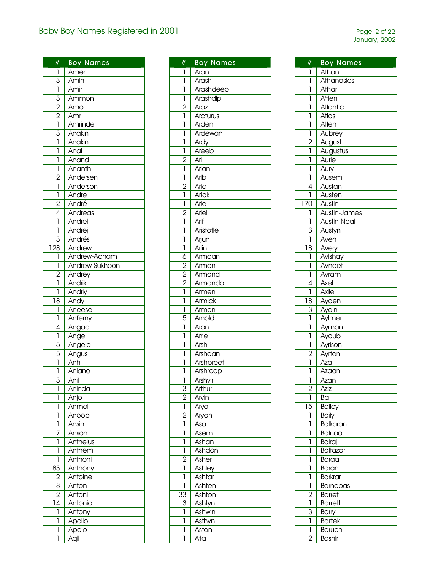| #                                     | <b>Boy Names</b>               |
|---------------------------------------|--------------------------------|
| 1                                     | Amer                           |
|                                       | Amin                           |
| $\frac{3}{1}$                         | Amir                           |
| $\overline{3}$                        | Ammon                          |
|                                       | Amol                           |
| $\frac{2}{2}$                         | Amr                            |
|                                       | Amrinder                       |
|                                       | Anakin                         |
| $rac{3}{1}$                           |                                |
|                                       | Ânakin                         |
| ī                                     | Anal                           |
| $\mathbf{I}$                          | Anand                          |
| $\overline{\mathbf{I}}$               | Ananth                         |
| $\overline{2}$                        | Andersen                       |
| $\overline{1}$                        | Anderson                       |
|                                       | Andre                          |
|                                       | André                          |
| $\frac{1}{2}$                         | Andreas                        |
| $\overline{1}$                        | Andrei                         |
| ī                                     | Andrej                         |
| $\overline{3}$                        |                                |
|                                       | Andrés                         |
| $\frac{128}{2}$                       | Andrew                         |
| $\overline{1}$                        | Andrew-Adham<br>Andrew-Sukhoon |
| $\overline{1}$                        |                                |
| $\overline{2}$                        | Andrey                         |
| 1                                     | Andrik                         |
| ī                                     | Andriy                         |
| 18                                    | Andy                           |
| l                                     | Aneese                         |
| $\overline{1}$                        | Anferny                        |
| $\overline{4}$                        | Angad                          |
| $\begin{array}{c} \hline \end{array}$ | Angel                          |
| $\overline{5}$                        | Angelo                         |
| $\overline{5}$                        | Angus                          |
| ī                                     | Anh                            |
| ī                                     | Aniano                         |
| 3                                     | Anil                           |
| 1                                     | Aninda                         |
| 1                                     | Anjo                           |
| 1                                     | Anmol                          |
| 1                                     | Anoop                          |
| 1                                     | Ansin                          |
| 7                                     | Anson                          |
| 1                                     | Antheius                       |
| 1                                     | Anthem                         |
| 1                                     | Anthoni                        |
| $8\overline{3}$                       |                                |
|                                       | Anthony                        |
| $\overline{c}$<br>$\overline{8}$      | Antoine                        |
|                                       | Anton                          |
| $\overline{2}$                        | Antoni                         |
| 14                                    | Antonio                        |
| 1                                     | Antony                         |
| 1                                     | Apollo                         |
| 1                                     | Apolo                          |
| 1                                     | Aqil                           |

| #              | <b>Boy Names</b> |
|----------------|------------------|
| 1              | Aran             |
| 1              | Arash            |
| 1              | Arashdeep        |
| 1              | Arashdip         |
| $\overline{2}$ | Araz             |
| 1              | Arcturus         |
| 1              | Arden            |
| 1              | Ardewan          |
| 1              | Ardy             |
| 1              | Areeb            |
| $\overline{2}$ | Ari              |
| 1              | Arian            |
| 1              | Arib             |
| $\overline{2}$ | Aric             |
| 1              | <b>Arick</b>     |
| 1              | Arie             |
| $\overline{2}$ | Ariel            |
| 1              | Arif             |
| 1              | Aristotle        |
| 1              | Arjun            |
| ī              | Arlin            |
| 6              | Armaan           |
|                |                  |
| $\overline{c}$ | Arman            |
| $\overline{2}$ | Armand           |
| $\overline{2}$ | Armando          |
| 1              | Armen            |
| 1              | Armick           |
| 1              | Armon            |
| 5              | Arnold           |
| 1              | Aron             |
| 1              | Arrie            |
| 1              | Arsh             |
| 1              | Arshaan          |
| 1              | Arshpreet        |
| 1              | Arshroop         |
| 1              | Arshvir          |
| 3              | Arthur           |
| $\overline{2}$ | Arvin            |
| 1              | Arya             |
| $\overline{2}$ | Aryan            |
| 1              | Asa              |
| 1              | Asem             |
| 1              | Ashan            |
| 1              | Ashdon           |
| $\overline{2}$ | Asher            |
| 1              | Ashley           |
| 1              | Ashtar           |
| 1              | Ashten           |
| 33             | Ashton           |
| 3              | Ashtyn           |
| 1              | Ashwin           |
| 1              | Asthyn           |
| 1              | Aston            |
| 1              | Ata              |

| #                | <b>Boy Names</b>          |
|------------------|---------------------------|
| I                | Athan                     |
| 1                | Athanasios                |
| 1                | Athar                     |
| 1                | <b>A</b> <sup>t</sup> ien |
| 1                | Atlantic                  |
| 1                | Atlas                     |
| 1                | Atlen                     |
| 1                | Aubrey                    |
| $\overline{c}$   | August                    |
|                  |                           |
| 1                | Augustus                  |
| 1                | Aurie                     |
| 1                | Aury                      |
| 1                | Ausem                     |
| 4                | Austan                    |
| 1                | Austen                    |
| $\overline{170}$ | Austin                    |
| 1                | Austin-James              |
| 1                | Austin-Noal               |
| $\overline{3}$   | Austyn                    |
| 1                | Aven                      |
| 18               | Avery                     |
| 1                |                           |
|                  | Avishay                   |
| 1                | Avneet                    |
| 1                | Avram                     |
| 4                | Axel                      |
| 1                | Axile                     |
| 18               | Ayden                     |
| 3                | Aydin                     |
| 1                | Aylmer                    |
| 1                | Ayman                     |
| 1                | Ayoub                     |
| 1                | Ayrison                   |
| $\overline{2}$   | Ayrton                    |
| 1                | Aza                       |
| 1                | Azaan                     |
| 1                | Azan                      |
| $\overline{2}$   | Aziz                      |
| 1                | Bа                        |
| 15               | <b>Bailey</b>             |
| 1                | <b>Baily</b>              |
| 1                | <b>Balkaran</b>           |
| 1                | Balnoor                   |
| 1                | Balraj                    |
| 1                | <b>Baltazar</b>           |
| 1                | Baraa                     |
| 1                | Baran                     |
| 1                | <b>Barkrar</b>            |
| 1                | Barnabas                  |
|                  |                           |
| $\overline{c}$   | <b>Barret</b>             |
| 1                | <b>Barrett</b>            |
| 3                | Barry                     |
| 1                | <b>Bartek</b>             |
| 1                | <b>Baruch</b>             |
| 2                | <b>Bashir</b>             |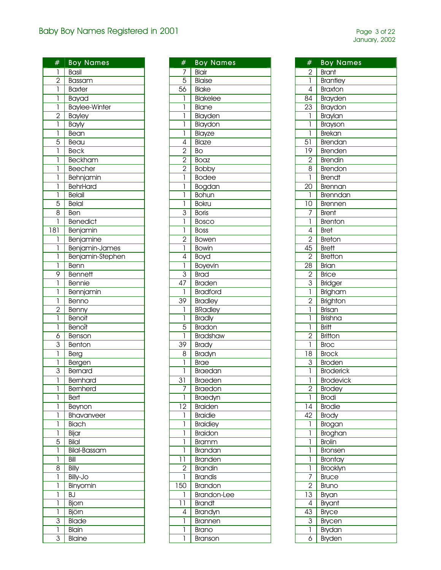| #               | <b>Boy Names</b>     |
|-----------------|----------------------|
|                 |                      |
| 1               | <b>Basil</b>         |
| $\frac{2}{1}$   | Bassam               |
|                 | <b>Baxter</b>        |
| l               | Bayad                |
| ī               | <b>Baylee-Winter</b> |
| $\frac{2}{1}$   | <b>Bayley</b>        |
|                 | Bayly                |
| Ī               | Bean                 |
| $\overline{5}$  | Beau                 |
| ī               | <b>Beck</b>          |
| 1               | Beckham              |
| 1               | Beecher              |
| 1               | Behnjamin            |
| 1               | <b>BehrHard</b>      |
| ī               | Belail               |
| $\overline{5}$  | <b>Belal</b>         |
| 8               | Ben                  |
| 1               | <b>Benedict</b>      |
| $\overline{18}$ | Benjamin             |
| 1               | Benjamine            |
| ľ               | Benjamin-James       |
| ľ               | Benjamin-Stephen     |
| ľ               | Benn                 |
| 9               | <b>Bennett</b>       |
| 1               | Bennie               |
| 1               | Bennjamin            |
| ī               | Benno                |
|                 | Benny                |
| $\frac{2}{1}$   | Benoit               |
| 1               | Benoît               |
| 6               | Benson               |
| $\overline{3}$  | Benton               |
| $\overline{1}$  | Berg                 |
| ī               | Bergen               |
| 3               | Bernard              |
| 1               | Bernhard             |
| 1               | Bernherd             |
| 1               | Bert                 |
| 1               | Beynon               |
| 1               | Bhavanveer           |
| 1               | Biach                |
| 1               | Bijar                |
| 5               | Bilal                |
| 1               | <b>Bilal-Bassam</b>  |
| 1               | Bill                 |
| 8               | Billy                |
| 1               | Billy-Jo             |
| 1               | Binyomin             |
| 1               | BJ                   |
| 1               | Bjorn                |
| 1               | Björn                |
| 3               | Blade                |
| ī               | Blain                |
| 3               | Blaine               |
|                 |                      |

| #                           | <b>Boy Names</b>   |
|-----------------------------|--------------------|
| 7                           | Blair              |
| $\overline{5}$              | Blaise             |
| 56                          | Blake              |
| $\overline{1}$              | Blakelee           |
| ī                           | Blane              |
| ī                           |                    |
| ī                           | Blayden            |
|                             | Blaydon            |
| ī                           | Blayze             |
| $\overline{4}$              | Blaze              |
| $\frac{2}{2}$ $\frac{2}{1}$ | Bo                 |
|                             | Boaz               |
|                             | <b>Bobby</b>       |
|                             | <b>Bodee</b>       |
| ī                           | <b>Bogdan</b>      |
| Ī                           | <b>Bohun</b>       |
| ī                           | <b>Bokru</b>       |
|                             | <b>Boris</b>       |
| $rac{3}{1}$                 | Bosco              |
| $\overline{1}$              | <b>Boss</b>        |
|                             | Bowen              |
| $\frac{2}{1}$               | Bowin              |
| $\overline{4}$              | Boyd               |
| $\overline{1}$              | Boyevin            |
|                             | <b>Brad</b>        |
| $\frac{3}{47}$              |                    |
| 1                           | <b>Braden</b>      |
|                             | <b>Bradford</b>    |
| 39                          | <b>Bradley</b>     |
| 1                           | <b>BRadley</b>     |
| ī                           | <b>Bradly</b>      |
| $\frac{5}{1}$               | <b>Bradon</b>      |
|                             | <b>Bradshaw</b>    |
| 39                          | <b>Brady</b>       |
| 8                           | Bradyn             |
| ľ                           | <b>Brae</b>        |
| 1                           | Braedan            |
| $\overline{31}$             | <b>Braeden</b>     |
| 7                           | Braedon            |
| ī                           | Braedyn            |
| $\overline{12}$             | <b>Braiden</b>     |
| 1                           | <b>Braidie</b>     |
| 1                           | <b>Braidiey</b>    |
| 1                           | <b>Braidon</b>     |
| 1                           | <b>Bramm</b>       |
| ľ                           | Brandan            |
| 11                          | <b>Branden</b>     |
| $\overline{2}$              | <b>Brandin</b>     |
| 1                           | <b>Brandis</b>     |
| 150                         | <b>Brandon</b>     |
|                             |                    |
| 1                           | <b>Brandon-Lee</b> |
| 11<br>$\overline{4}$        | <b>Brandt</b>      |
|                             | Brandyn            |
| 1                           | Brannen            |
| 1                           | Brano              |
| 1                           | Branson            |

| #               | <b>Boy Names</b>         |
|-----------------|--------------------------|
|                 | <b>Brant</b>             |
| $\frac{2}{1}$   | Brantley                 |
| $\overline{4}$  | <b>Braxton</b>           |
| 84              | Brayden                  |
| $\overline{23}$ | Braydon                  |
| ī               | Braylan                  |
| ľ               | Brayson                  |
| ī               | Brekan                   |
| $5\overline{1}$ | Brendan                  |
| $\overline{19}$ | <b>Brenden</b>           |
|                 | <b>Brendin</b>           |
| $\frac{2}{8}$   |                          |
| $\overline{1}$  | Brendon<br><b>Brendt</b> |
|                 |                          |
| $\overline{20}$ | Brennan                  |
| 1               | <b>Brenndan</b>          |
| 10              | Brennen                  |
| $\frac{7}{1}$   | <b>Brent</b>             |
|                 | <b>Brenton</b>           |
| $\overline{4}$  | <b>Bret</b>              |
| $\overline{2}$  | <b>Breton</b>            |
| $\overline{45}$ | <b>Brett</b>             |
| $\overline{2}$  | <b>Bretton</b>           |
| $\overline{28}$ | Brian                    |
| $\frac{2}{3}$   | <b>Brice</b>             |
|                 | Bridger                  |
|                 | Brigham                  |
| $\frac{2}{1}$   | Brighton                 |
|                 | Brisan                   |
| ī               | Brishna                  |
| ľ               | <b>Britt</b>             |
| $\overline{2}$  | <b>Britton</b>           |
| ī               | <b>Broc</b>              |
| $\overline{18}$ | <b>Brock</b>             |
| $\overline{3}$  | Broden                   |
|                 | <b>Broderick</b>         |
| I               | <b>Brodevick</b>         |
| $\overline{2}$  | <b>Brodey</b>            |
| ī               | <b>Brodi</b>             |
| $\overline{14}$ | <b>Brodie</b>            |
| 42              | <b>Brody</b>             |
| 1               | Brogan                   |
| l               | <b>Broghan</b>           |
| l               | <b>Brolin</b>            |
| l               | Bronsen                  |
| l               | Brontay                  |
| ī               | Brooklyn                 |
| 7               | <b>Bruce</b>             |
| $\overline{2}$  | Bruno                    |
| $\overline{13}$ | Bryan                    |
| $\overline{4}$  | Bryant                   |
| 43              | Bryce                    |
|                 | <b>Brycen</b>            |
| $\frac{3}{1}$   | Brydan                   |
| $\overline{6}$  | Bryden                   |
|                 |                          |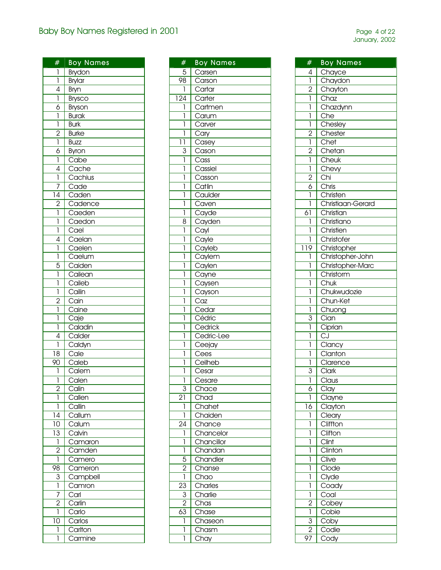| #                                                                                                                                                                                                                                                                                                                                                                                                              | <b>Boy Names</b>                                       |
|----------------------------------------------------------------------------------------------------------------------------------------------------------------------------------------------------------------------------------------------------------------------------------------------------------------------------------------------------------------------------------------------------------------|--------------------------------------------------------|
| $\begin{array}{c} \rule{0pt}{2ex} \rule{0pt}{2ex} \rule{0pt}{2ex} \rule{0pt}{2ex} \rule{0pt}{2ex} \rule{0pt}{2ex} \rule{0pt}{2ex} \rule{0pt}{2ex} \rule{0pt}{2ex} \rule{0pt}{2ex} \rule{0pt}{2ex} \rule{0pt}{2ex} \rule{0pt}{2ex} \rule{0pt}{2ex} \rule{0pt}{2ex} \rule{0pt}{2ex} \rule{0pt}{2ex} \rule{0pt}{2ex} \rule{0pt}{2ex} \rule{0pt}{2ex} \rule{0pt}{2ex} \rule{0pt}{2ex} \rule{0pt}{2ex} \rule{0pt}{$ | Brydon                                                 |
| ī                                                                                                                                                                                                                                                                                                                                                                                                              | Brylar                                                 |
| $\overline{4}$                                                                                                                                                                                                                                                                                                                                                                                                 | Bryn                                                   |
| $\overline{1}$                                                                                                                                                                                                                                                                                                                                                                                                 | <b>Brysco</b>                                          |
| $\overline{6}$                                                                                                                                                                                                                                                                                                                                                                                                 | Bryson                                                 |
| $\overline{1}$                                                                                                                                                                                                                                                                                                                                                                                                 | <b>Burak</b>                                           |
| $\overline{1}$                                                                                                                                                                                                                                                                                                                                                                                                 | <b>Burk</b>                                            |
|                                                                                                                                                                                                                                                                                                                                                                                                                |                                                        |
| $\frac{2}{1}$                                                                                                                                                                                                                                                                                                                                                                                                  | <b>Burke</b>                                           |
|                                                                                                                                                                                                                                                                                                                                                                                                                | <b>Buzz</b>                                            |
| $\overline{6}$                                                                                                                                                                                                                                                                                                                                                                                                 | Byron                                                  |
| 1                                                                                                                                                                                                                                                                                                                                                                                                              | Cabe                                                   |
| 4                                                                                                                                                                                                                                                                                                                                                                                                              | Cache                                                  |
| 1                                                                                                                                                                                                                                                                                                                                                                                                              | Cachius                                                |
| 7                                                                                                                                                                                                                                                                                                                                                                                                              |                                                        |
| $\overline{14}$                                                                                                                                                                                                                                                                                                                                                                                                |                                                        |
| $\overline{2}$                                                                                                                                                                                                                                                                                                                                                                                                 |                                                        |
| $\overline{1}$                                                                                                                                                                                                                                                                                                                                                                                                 |                                                        |
| $\overline{1}$                                                                                                                                                                                                                                                                                                                                                                                                 |                                                        |
| ī                                                                                                                                                                                                                                                                                                                                                                                                              |                                                        |
|                                                                                                                                                                                                                                                                                                                                                                                                                | Cachius<br>Cade<br>Cadence<br>Caeden<br>Caedon<br>Cael |
| $\overline{4}$                                                                                                                                                                                                                                                                                                                                                                                                 | Caelan                                                 |
| $\begin{array}{c} \hline \end{array}$                                                                                                                                                                                                                                                                                                                                                                          | Caelen                                                 |
| ī                                                                                                                                                                                                                                                                                                                                                                                                              | Caelum                                                 |
| 5                                                                                                                                                                                                                                                                                                                                                                                                              | Caiden                                                 |
| 1                                                                                                                                                                                                                                                                                                                                                                                                              | Cailean                                                |
| 1                                                                                                                                                                                                                                                                                                                                                                                                              | Caileb                                                 |
| 1                                                                                                                                                                                                                                                                                                                                                                                                              | Cailin                                                 |
| $\overline{c}$                                                                                                                                                                                                                                                                                                                                                                                                 | Cain                                                   |
| $\overline{1}$                                                                                                                                                                                                                                                                                                                                                                                                 | Caine                                                  |
| ī                                                                                                                                                                                                                                                                                                                                                                                                              | Caje                                                   |
| $\overline{\mathbf{I}}$                                                                                                                                                                                                                                                                                                                                                                                        | Caladin                                                |
| 4                                                                                                                                                                                                                                                                                                                                                                                                              | Calder                                                 |
| 1                                                                                                                                                                                                                                                                                                                                                                                                              | Caldyn                                                 |
| $\overline{18}$                                                                                                                                                                                                                                                                                                                                                                                                | Cale                                                   |
|                                                                                                                                                                                                                                                                                                                                                                                                                | Caleb                                                  |
| 90                                                                                                                                                                                                                                                                                                                                                                                                             |                                                        |
| 1                                                                                                                                                                                                                                                                                                                                                                                                              | $\overline{\mathsf{Cal}}$ em                           |
| 1                                                                                                                                                                                                                                                                                                                                                                                                              | Calen                                                  |
| $\overline{2}$                                                                                                                                                                                                                                                                                                                                                                                                 | Calin                                                  |
| 1                                                                                                                                                                                                                                                                                                                                                                                                              | Callen                                                 |
| 1                                                                                                                                                                                                                                                                                                                                                                                                              | Callin                                                 |
| 14                                                                                                                                                                                                                                                                                                                                                                                                             | $\overline{\text{Callum}}$                             |
| 10                                                                                                                                                                                                                                                                                                                                                                                                             | $\overline{\text{Cal}}$ um                             |
| $\overline{13}$                                                                                                                                                                                                                                                                                                                                                                                                | Calvin                                                 |
| $\overline{1}$                                                                                                                                                                                                                                                                                                                                                                                                 | Camaron                                                |
| $\overline{2}$                                                                                                                                                                                                                                                                                                                                                                                                 | Camden                                                 |
| 1                                                                                                                                                                                                                                                                                                                                                                                                              | Camero                                                 |
| 98                                                                                                                                                                                                                                                                                                                                                                                                             | Cameron                                                |
|                                                                                                                                                                                                                                                                                                                                                                                                                |                                                        |
| $\overline{3}$<br>ī                                                                                                                                                                                                                                                                                                                                                                                            | Campbell                                               |
|                                                                                                                                                                                                                                                                                                                                                                                                                | Camron                                                 |
| 7                                                                                                                                                                                                                                                                                                                                                                                                              | Carl                                                   |
| $\overline{2}$                                                                                                                                                                                                                                                                                                                                                                                                 | Carlin                                                 |
| 1                                                                                                                                                                                                                                                                                                                                                                                                              | Carlo                                                  |
| 10                                                                                                                                                                                                                                                                                                                                                                                                             | Carlos                                                 |
|                                                                                                                                                                                                                                                                                                                                                                                                                |                                                        |
| 1                                                                                                                                                                                                                                                                                                                                                                                                              | Carlton<br>Carmine                                     |

| #                | <b>Boy Names</b>                                               |
|------------------|----------------------------------------------------------------|
| $\overline{5}$   | Carsen                                                         |
| 98               | Carson                                                         |
| ī                | Cartar                                                         |
| 124              | Carter                                                         |
| 1                | Cartmen                                                        |
| Ī                | Carum                                                          |
| ľ                |                                                                |
|                  | Carver                                                         |
| ī                | $\overline{\text{Cary}}$                                       |
| $\overline{1}$   | $\overline{\text{Casey}}$                                      |
| $\overline{3}$   | $\overline{\text{Cason}}$                                      |
| ľ                | $\overline{\mathrm{Coss}}$                                     |
| Ī                | Cassiel                                                        |
| ī                | Casson                                                         |
| Ī                | Catlin                                                         |
| ľ                |                                                                |
| Ī                | Cariii I<br>Caulder<br>Caven                                   |
| 1                |                                                                |
| $\overline{8}$   |                                                                |
| Ī                |                                                                |
| ľ                |                                                                |
| ľ                | Caven<br>Cayden<br>Cayl<br>Cayle<br>Cayleb<br>Caylem<br>Carlon |
| Ī                |                                                                |
| l                | Caylen                                                         |
| 1                | Cayne                                                          |
| l                |                                                                |
| 1                | Caysen                                                         |
|                  | Cayson                                                         |
| Ī                | Caz                                                            |
| 1                | Cedar                                                          |
| ī                | Cédric                                                         |
| l                | Cedrick                                                        |
| l                | Cedric-Lee                                                     |
| 1                | Ceejay                                                         |
| Ī                | Cees                                                           |
| Ī                | Ceilheb                                                        |
| 1                | Cesar                                                          |
| l                | $\overline{C}$ esare                                           |
| $\overline{3}$   | Chace                                                          |
| $\overline{2}$ 1 | $\overline{\text{Chad}}$                                       |
| 1                | Chahet                                                         |
| ī                | Chaiden                                                        |
| 24               | Chance                                                         |
| 1                | Chancelor                                                      |
| 1                | Chancillor                                                     |
|                  | Chandan                                                        |
|                  | Chandler                                                       |
|                  |                                                                |
| $\frac{1}{2}$    | Chanse<br>Chao<br>Charles                                      |
| $\overline{23}$  |                                                                |
|                  |                                                                |
| $\frac{3}{2}$    | Charlie                                                        |
|                  | Chas                                                           |
| $\overline{63}$  | Chase                                                          |
| ī                | Chaseon                                                        |
| 1                | Chasm                                                          |
| ľ                | Chay                                                           |

| #                       | <b>Boy Names</b>             |
|-------------------------|------------------------------|
| 4                       |                              |
| į                       | Chayce                       |
|                         | Chaydon<br>Chayton           |
| $\overline{2}$          |                              |
| 1                       | Chaz                         |
| ī                       | Chazdynn                     |
| 1                       | <b>Che</b>                   |
| Ī                       | Chesley                      |
| $\overline{c}$          | Chester                      |
| $\overline{\mathbb{I}}$ | Chet                         |
| $\overline{2}$          | Chetan                       |
| $\overline{1}$          | Cheuk                        |
| $\overline{1}$          | Chevy                        |
| $\frac{2}{6}$           | Chi                          |
|                         | Chris                        |
| į                       | Christen                     |
| 1                       | Christiaan-Gerard            |
| 61                      | Christian                    |
| 1                       | Christiano                   |
| 1                       | Christien                    |
| 1                       | Christofer                   |
| 119                     | Christopher                  |
|                         |                              |
| 1                       | Christopher-John             |
| 1                       | Christopher-Marc             |
| 1                       | Christorm                    |
| 1                       | Chuk                         |
| 1                       | Chukwudozie                  |
| ī                       | Chun-Ket                     |
| 1                       | Chuong                       |
| $\overline{3}$          | Cian                         |
| 1                       | Ciprian                      |
| 1                       | $\overline{C}$               |
| 1                       | Clancy                       |
| 1                       | Clanton                      |
| 1                       | Clarence                     |
| 3                       | Clark                        |
| 1                       | Claus                        |
| $\overline{6}$          | Clay                         |
| 1                       | Clayne                       |
| 16                      | Clayton                      |
| 1                       | Cleary                       |
| 1                       | Cliffton                     |
| 1                       | Clifton                      |
| 1                       | $\overline{\hbox{Clint}}$    |
| 1                       | $\overline{\text{Clin}}$ ton |
| 1                       | Clive                        |
| 1                       | $\overline{\text{Clode}}$    |
| 1                       | Clyde                        |
| 1                       | Coady                        |
|                         |                              |
| 1                       | Coal                         |
| $\overline{2}$          | Cobey                        |
| į                       | Cobie                        |
| $\overline{3}$          | Coby                         |
| 2                       | Codie                        |
| 97                      | Cody                         |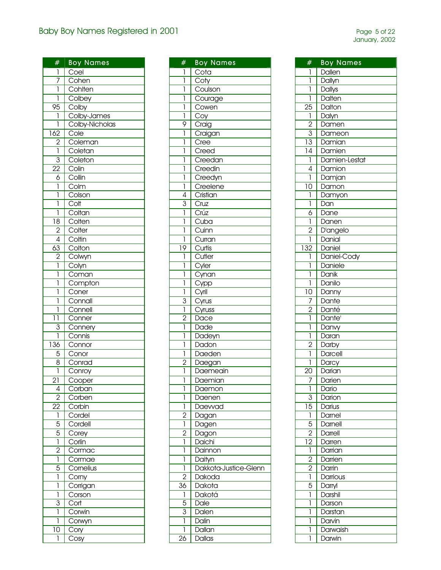| #                   | <b>Boy Names</b>           |
|---------------------|----------------------------|
| 1                   | Coel                       |
| $\overline{1}$      | Cohen                      |
| ī                   | Cohlten                    |
| 1                   | Colbey                     |
| 95                  |                            |
| 1                   | Colby<br>Colby-James       |
| 1                   | Colby-Nicholas             |
| 162                 | Cole                       |
|                     | Coleman                    |
| $\frac{2}{1}$       | Coletan                    |
|                     |                            |
| $\overline{3}$      | Coleton                    |
| $\overline{22}$     | Colin                      |
| $\overline{6}$      | Collin                     |
| 1                   | Colm                       |
| 1                   | Colson                     |
| 1                   | Colt                       |
| ī                   |                            |
| $\overline{18}$     | Coltan<br>Colten           |
| $\overline{2}$      | Colter                     |
|                     |                            |
| $\frac{4}{63}$      | Coltin<br>Coltin           |
| $\overline{2}$      |                            |
|                     | Colwyn                     |
| $\overline{1}$<br>ī | Colyn                      |
|                     | Coman<br>Compton           |
| 1                   |                            |
| l                   | Coner                      |
| 1                   | Connall                    |
| 1                   | Connell                    |
| 11                  | Conner                     |
| $\overline{3}$      | Connery                    |
| ī                   | Connis                     |
| $\overline{136}$    | Connor                     |
| $\frac{5}{8}$       | Conor                      |
|                     | Conrad                     |
| ī                   | Conroy                     |
| $\overline{2}$ ]    | Cooper                     |
| 4                   | $\overline{\text{Corban}}$ |
| $\overline{2}$      | Corben                     |
| $\overline{2}2$     | Corbin                     |
| 1                   | Cordel                     |
| 5                   | Cordell                    |
| 5                   | Corey                      |
| ī                   | Corlin                     |
| $\overline{2}$      | Cormac                     |
| 1                   | Cormae                     |
| 5                   | Cornelius                  |
| 1                   |                            |
|                     | Corny                      |
| 1                   | Corrigan                   |
| 1                   | Corson                     |
| $\overline{3}$      | Cort                       |
| 1                   | Corwin                     |
| 1                   | Corwyn                     |
| 10                  | Cory                       |
| 1                   | Cosy                       |

| #                                | <b>Boy Names</b>                                            |
|----------------------------------|-------------------------------------------------------------|
| I                                | Cota                                                        |
| ī                                |                                                             |
| ī                                | Coty<br>Coty<br>Coulson                                     |
| ī                                | Courage                                                     |
| $\overline{1}$                   | Cowen                                                       |
| ī                                |                                                             |
| 9                                | $\frac{Cov}{\sqrt{C}}$<br>Craig                             |
| 1                                |                                                             |
|                                  | Craigan                                                     |
| 1                                | Cree                                                        |
| 1                                | Creed                                                       |
| 1                                | Creedan                                                     |
| 1                                | Creedin                                                     |
| 1                                | Creedyn                                                     |
| į                                | Creelene                                                    |
| $\frac{4}{3}$                    | $\overline{C}$ ristian                                      |
|                                  | Cruz                                                        |
|                                  | Crúz                                                        |
| $\overline{1}$                   | $\overline{\text{Cuba}}$                                    |
| ī                                | $\overline{\mathrm{Cu}}$ inn                                |
| ī                                | Curran                                                      |
| $\overline{19}$                  | Curtis                                                      |
| ī                                | Cutler                                                      |
| ī                                | Culler<br>Cyler<br>Cynan<br>Cypp<br>Cyrus<br>Cyrus<br>Cyrus |
| ī                                |                                                             |
| $\overline{1}$                   |                                                             |
| ī                                |                                                             |
|                                  |                                                             |
| $\frac{3}{1}$                    |                                                             |
|                                  |                                                             |
| $\frac{2}{1}$                    | Dace                                                        |
|                                  | Dade                                                        |
| $\overline{1}$                   | Dadeyn                                                      |
| ī                                | Dadon                                                       |
| ī                                | Daeden                                                      |
| $\frac{1}{2}$                    | Daegan                                                      |
| ī                                | Daemeain                                                    |
| Ī                                | Daemian                                                     |
| l                                | Daemon                                                      |
| 1                                | Daenen                                                      |
| 1                                | Daewad                                                      |
|                                  | Dagan                                                       |
| $\frac{2}{1}$                    | Dagen                                                       |
|                                  | Dagon                                                       |
| $\frac{2}{1}$                    | Daichi                                                      |
| ī                                | Dainnon                                                     |
| 1                                | Daityn                                                      |
| ī                                | Dakkota-Justice-Glenn                                       |
| $\overline{2}$                   | Dakoda                                                      |
| $\overline{36}$                  | Dakota                                                      |
|                                  |                                                             |
| $\overline{1}$<br>$\overline{5}$ | Dakotá<br>Dale                                              |
|                                  |                                                             |
| $\overline{3}$                   | Dalen                                                       |
| ī                                | Dalin                                                       |
| 1                                | Dallan                                                      |
| $\overline{26}$                  | <b>Dallas</b>                                               |

| #                                                  | <b>Boy Names</b>   |
|----------------------------------------------------|--------------------|
| 1                                                  | Dallen             |
| ľ                                                  | Dallyn             |
| 1                                                  | <b>Dallys</b>      |
| ī                                                  | Dalten             |
|                                                    |                    |
| $\overline{25}$                                    | Dalton             |
| $\overline{1}$                                     | Dalyn              |
| $\frac{2}{\frac{3}{13}}$ $\frac{1}{\frac{14}{14}}$ | Damen              |
|                                                    | Dameon             |
|                                                    | Damian             |
|                                                    | Damien             |
| $\overline{1}$                                     | Damien-Lestat      |
| $\overline{4}$                                     | Damion             |
| $\overline{1}$                                     | Damjan             |
| $\overline{10}$                                    | Damon              |
| 1                                                  | Damyon             |
| ī                                                  | Dan                |
|                                                    | Dane               |
| $\frac{6}{1}$                                      | Danen              |
| $\overline{2}$                                     | D'angelo           |
| ī                                                  | Danial             |
| $\overline{132}$                                   | Daniel             |
| 1                                                  | Daniel-Cody        |
|                                                    |                    |
| ī                                                  | Daniele            |
| ī                                                  | Danik              |
| Ī                                                  | Danilo             |
| $\overline{10}$                                    | Danny              |
| 7                                                  | Dante              |
| $\frac{2}{1}$                                      | Danté              |
|                                                    | Dante <sup>®</sup> |
| ī                                                  | Danvy              |
| ī                                                  | Daran              |
| $\overline{2}$                                     | Darby              |
| ī                                                  | Darcell            |
| 1                                                  | Darcy              |
| 20                                                 | Darian             |
|                                                    | Darien             |
| ī                                                  | Dario              |
| 3                                                  | Darion             |
| $\overline{15}$                                    | Darius             |
| $\overline{1}$                                     | Darnel             |
| 5                                                  | Darnell            |
| $\overline{2}$                                     | Darrell            |
| $\overline{12}$                                    | Darren             |
| $\overline{1}$                                     | Darrian            |
| $\overline{2}$                                     | Darrien            |
| $\overline{2}$                                     | Darrin             |
| 1                                                  |                    |
| 5                                                  | Darrious           |
|                                                    | Darryl             |
| 1                                                  | Darshil            |
| 1                                                  | Darson             |
| 1                                                  | Darstan            |
| 1                                                  | Darvin             |
| 1                                                  | Darwaish           |
| 1                                                  | Darwin             |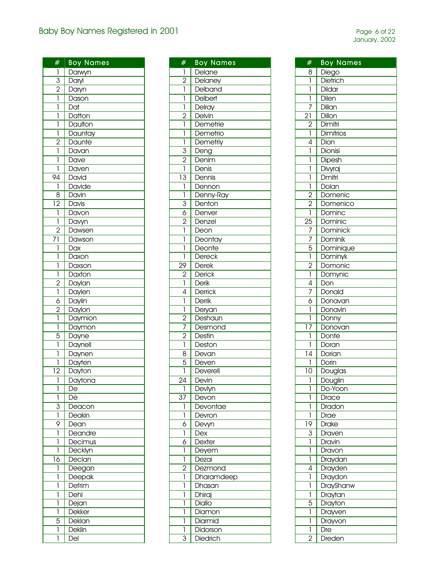| #                       | <b>Boy Names</b> |
|-------------------------|------------------|
|                         |                  |
| 1                       | Darwyn           |
| $\frac{3}{2}$           | Daryl            |
|                         | Daryn            |
| $\overline{1}$          | Dason            |
| 1                       | Dat              |
| 1                       | Datton           |
| ī                       | Daulton          |
| $\overline{\mathbb{I}}$ | Dauntay          |
| $\frac{2}{1}$           | Daunte           |
|                         | Davan            |
| ī                       | Dave             |
| 1                       | Daven            |
| 94                      | David            |
| 1                       | <b>Davide</b>    |
| 8                       | Davin            |
| $\overline{12}$         | Davis            |
| $\mathbf{I}$            | Davon            |
| 1                       | Davyn            |
| $\overline{2}$          | Dawsen           |
| $\overline{71}$         | Dawson           |
| $\mathbf{I}$            | Dax              |
| 1                       | Daxon            |
| Ī                       |                  |
|                         | Daxson           |
| ī                       | Daxton           |
| $\overline{2}$          | Daylan           |
| $\overline{1}$          | Daylen           |
| $\overline{6}$          | Daylin           |
| $\frac{2}{1}$           | Daylon           |
|                         | Daymion          |
| ī                       | Daymon           |
| 5                       | Dayne            |
| 1                       | Daynell          |
| 1                       | Daynen           |
| 1                       | Dayten           |
| $\overline{12}$         | Dayton           |
| I                       | Daytona          |
| 1                       | De               |
| 1                       | Dè               |
| 3                       | Deacon           |
| 1                       | Deakin           |
| 9                       | Dean             |
| 1                       | Deandre          |
| 1                       | Decimus          |
| 1                       | Decklyn          |
| $\overline{16}$         | Declan           |
| 1                       | Deegan           |
| 1                       | Deepak           |
| 1                       | Defrim           |
| 1                       | Dehl             |
| 1                       | Dejan            |
| 1                       | Dekker           |
|                         |                  |
| 5                       | Deklan           |
| 1                       | Deklin           |
| 1                       | Del              |

| #                                                                                                                             | <b>Boy Names</b> |
|-------------------------------------------------------------------------------------------------------------------------------|------------------|
| $\mathbf{I}$                                                                                                                  | Delane           |
|                                                                                                                               | Delaney          |
| $\frac{2}{1}$                                                                                                                 | Delband          |
|                                                                                                                               | <b>Delbert</b>   |
| $\frac{1}{1}$                                                                                                                 | Delray           |
|                                                                                                                               | Delvin           |
| $\frac{2}{1}$                                                                                                                 | Demetrie         |
|                                                                                                                               |                  |
| $\overline{1}$                                                                                                                | Demetrio         |
| $\frac{1}{3}$                                                                                                                 | Demetriy         |
|                                                                                                                               | Deng             |
| $\frac{2}{1}$                                                                                                                 | Denim            |
|                                                                                                                               | Denis            |
| $\overline{13}$                                                                                                               | Dennis           |
| $\overline{1}$                                                                                                                | Dennon           |
| $\frac{1}{1}$                                                                                                                 | Denny-Ray        |
|                                                                                                                               | Denton           |
| $\frac{3}{6}$ $\frac{6}{1}$                                                                                                   | Denver           |
|                                                                                                                               | Denzel           |
|                                                                                                                               | Deon             |
| $\overline{1}$                                                                                                                | Deontay          |
| $\overline{1}$                                                                                                                | Deonte           |
| $\overline{1}$                                                                                                                | <b>Dereck</b>    |
| $\frac{29}{2}$                                                                                                                | <b>Derek</b>     |
|                                                                                                                               | Derick           |
|                                                                                                                               | Derik            |
|                                                                                                                               | <b>Derrick</b>   |
|                                                                                                                               | Derrik           |
| $\frac{2}{1}$ $\frac{1}{4}$ $\frac{1}{1}$ $\frac{1}{2}$ $\frac{2}{7}$ $\frac{2}{2}$ $\frac{1}{1}$ $\frac{8}{5}$ $\frac{5}{1}$ | Deryan           |
|                                                                                                                               | Deshaun          |
|                                                                                                                               | Desmond          |
|                                                                                                                               | Destin           |
|                                                                                                                               | Deston           |
|                                                                                                                               |                  |
|                                                                                                                               | Devan            |
|                                                                                                                               | Deven            |
|                                                                                                                               | Deverell         |
| 24                                                                                                                            | Devin            |
| 1                                                                                                                             | Devlyn           |
| $\overline{3}$                                                                                                                | Devon            |
| 1                                                                                                                             | Devontae         |
| ī                                                                                                                             | Devron           |
| $\overline{6}$                                                                                                                | Devyn            |
| Ī                                                                                                                             | $\overline{Dex}$ |
| $\overline{6}$                                                                                                                | Dexter           |
| 1                                                                                                                             | Deyem            |
| $\overline{1}$                                                                                                                | Dezai            |
| $\overline{2}$                                                                                                                | Dezmond          |
| ī                                                                                                                             | Dharamdeep       |
| 1                                                                                                                             | Dhasan           |
| 1                                                                                                                             | Dhiraj           |
| l                                                                                                                             | <b>Diallo</b>    |
| 1                                                                                                                             | Diamon           |
| 1                                                                                                                             | Diarmid          |
| 1                                                                                                                             | Didorson         |
| 3                                                                                                                             | <b>Diedrich</b>  |
|                                                                                                                               |                  |

| #                           | <b>Boy Names</b> |
|-----------------------------|------------------|
| 8                           | Diego            |
| $\overline{1}$              | <b>Dietrich</b>  |
| ī                           | <b>Dildar</b>    |
| ī                           | Dilen            |
| 7                           | Dillan           |
|                             |                  |
| $\overline{2}$ ]            | Dillon           |
| $\frac{2}{1}$               | Dimitri          |
|                             | Dimitrios        |
| $\overline{4}$<br>ī         | Dion             |
|                             | Dionisi          |
| 1                           | Dipesh           |
| 1                           | Divyraj          |
| 1                           | Dmitri           |
| ī                           | Dolan            |
| $\frac{2}{2}$               | Domenic          |
|                             | Domenico         |
| $\overline{1}$              | Dominc           |
| $\overline{25}$             | Dominic          |
|                             | Dominick         |
|                             | Dominik          |
| $\frac{7}{7}$ $\frac{7}{1}$ | Dominique        |
|                             | <b>Dominyk</b>   |
| $\frac{2}{1}$               | Domonic          |
|                             | Domynic          |
|                             | Don              |
|                             | Donald           |
| $\frac{4}{7}$ $\frac{6}{1}$ | Donavan          |
|                             | Donavin          |
| ī                           | Donny            |
| $\frac{1}{2}$               | Donovan          |
| 1                           | Donte            |
| ī                           | Doran            |
| 4                           | Dorian           |
| ī                           | Dorin            |
| $\overline{10}$             | Douglas          |
| 1                           | Douglin          |
| 1                           | Do-Yoon          |
| 1                           | Drace            |
| 1                           | Dradon           |
| 1                           | Drae             |
| 19                          | Drake            |
| $\overline{3}$              | Draven           |
| 1                           | Dravin           |
| 1                           | Dravon           |
| 1                           | Draydan          |
| 4                           | Drayden          |
| 1                           | Draydon          |
| 1                           | DrayShanw        |
| 1                           | Draytan          |
| $\overline{5}$              | Drayton          |
| 1                           | Drayven          |
| 1                           | Drayvon          |
| ī                           | Dre              |
| $\overline{2}$              | Dreden           |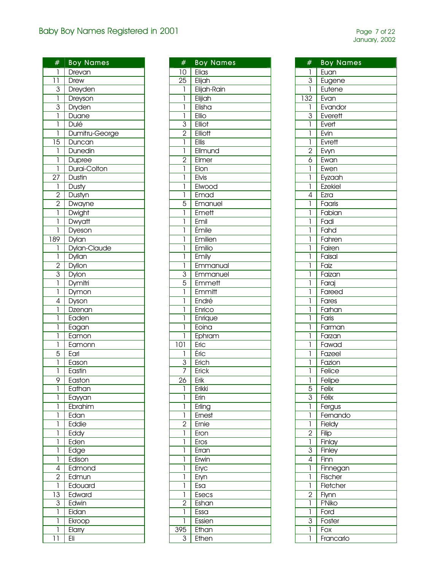| #                           | <b>Boy Names</b>           |
|-----------------------------|----------------------------|
| 1                           | Drevan                     |
| $\overline{11}$             | Drew                       |
|                             | Dreyden                    |
| $rac{3}{1}$                 | Dreyson                    |
|                             | Dryden                     |
| $rac{3}{1}$                 |                            |
| ī                           | <mark>Duane</mark><br>Dulé |
| 1                           | Dumitru-George             |
| $\overline{15}$             | Duncan                     |
| ī                           | Dunedin                    |
| ľ                           | Dupree                     |
| ı                           | Durai-Colton               |
| $\overline{27}$             | Dustin                     |
| $\overline{\overline{1}}$   | Dusty                      |
|                             | Dustyn                     |
|                             | <b>Dwayne</b>              |
| $\frac{2}{2}$ $\frac{2}{1}$ | Dwight                     |
| ī                           | Dwyatt                     |
| ī                           | Dyeson                     |
| 189                         |                            |
| 1                           | Dylan<br>Dylan-Claude      |
| ī                           | Dyllan                     |
|                             |                            |
| $\frac{2}{3}$               | Dyllon                     |
|                             | <b>Dylon</b>               |
| ī                           | Dymitri                    |
| $\overline{4}$              | Dymon                      |
| ľ                           | Dyson                      |
| ľ                           | Dzenan<br>Eaden            |
| ī                           |                            |
| ī                           | Eagan                      |
| $\overline{1}$              | Eamon<br>Eamonn            |
| $\overline{5}$              | Earl                       |
| ľ                           | Eason                      |
| ľ                           | Eastin                     |
| 9                           |                            |
| 1                           | Easton<br>Eathan           |
| 1                           | Eayyan                     |
| 1                           | Ebrahim                    |
| 1                           | Edan                       |
| 1                           | Eddie                      |
| 1                           | Eddy                       |
| ľ                           | Eden                       |
| 1                           | Edge                       |
| 1                           | Edison                     |
| $\overline{4}$              | Edmond                     |
| 2                           | Edmun                      |
| ī                           | Edouard                    |
| $\overline{13}$             | Edward                     |
| $\overline{3}$              | Edwin                      |
| 1                           | Eidan                      |
|                             |                            |
| 1                           | Ekroop                     |
| 1                           | Elarry                     |
| 11                          | Eli                        |

| #              | <b>Boy Names</b> |
|----------------|------------------|
| 10             | Elias            |
| 25             | Elijah           |
| $\mathbf{I}$   | Elijah-Rain      |
| ī              | Elijiah          |
| 1              | Elisha           |
| Ī              | Ellio            |
| $\overline{3}$ | Elliot           |
|                |                  |
| $\frac{2}{1}$  | Elliott          |
|                | Ellis            |
| 1              | Ellmund          |
| $\overline{2}$ | Elmer            |
| 1              | Elon             |
| 1              | Elvis            |
| 1              | Elwood           |
| ī              | Emad             |
| $\overline{5}$ | Emanuel          |
| 1              | Emett            |
| 1              | Emil             |
| 1              | Émile            |
| l              | Emilien          |
| l              | Emilio           |
| 1              | Emily            |
|                |                  |
| 1              | Emmanual         |
| 3              | Emmanuel         |
| $\overline{5}$ | Emmett           |
| ī              | Emmitt           |
| ľ              | Endré            |
| ľ              | Enrico           |
| ľ              | Enrique          |
| l              | Eoina            |
| 1              | Ephram           |
| 101            | Eric             |
| 1              | Éric             |
| $\overline{3}$ | Erich            |
| 7              | Erick            |
| ን ለ            | Erik             |
| 1              | Erikki           |
| 1              | Erin             |
| 1              | Erling           |
| 1              | Ernest           |
| $\overline{2}$ | Ernie            |
| 1              | Eron             |
| 1              | Eros             |
|                |                  |
| 1              | Erran            |
| 1              | Erwin            |
| 1              | Eryc             |
| 1              | Eryn             |
| 1              | Esa              |
| 1              | Esecs            |
| 2              | Eshan            |
| 1              | Essa             |
| 1              | Essien           |
| 395            | Ethan            |
| 3              | Ethen            |

| #              | <b>Boy Names</b> |
|----------------|------------------|
| 1              | Euan             |
| $\overline{3}$ | Eugene           |
| 1              | Eutene           |
| 132            | Evan             |
| 1              | Evandor          |
| 3              | Everett          |
| 1              | Evert            |
| 1              | Evin             |
| 1              | Evrett           |
|                |                  |
| $\overline{2}$ | Evyn             |
| 6              | Ewan             |
| 1              | Ewen             |
| 1              | Eyzaah           |
| 1              | <b>Ezekiel</b>   |
| 4              | Ezra             |
| 1              | Faaris           |
| 1              | Fabian           |
| 1              | Fadi             |
| 1              | Faha             |
| l              | Fahren           |
| l              |                  |
|                | Fairen           |
| 1              | Faisal           |
| 1              | Faiz             |
| 1              | Faizan           |
| 1              | Faraj            |
| 1              | Fareed           |
| 1              | Fares            |
| 1              | Farhan           |
| 1              | Faris            |
| 1              | Farman           |
| 1              | Farzan           |
| 1              | Fawad            |
| 1              | Fazeel           |
| 1              | Fazion           |
| 1              | Felice           |
| 1              | Felipe           |
| 5              | Felix            |
| $\overline{3}$ | Félix            |
| 1              | Fergus           |
| 1              | Fernando         |
| 1              | Fieldy           |
| $\overline{2}$ | Filip            |
| 1              | Finlay           |
| 3              | Finley           |
| 4              | Finn             |
| 1              | Finnegan         |
| 1              |                  |
|                | Fischer          |
| 1              | Fletcher         |
| $\overline{2}$ | Flynn            |
| 1              | F'Niko           |
| 1              | Ford             |
| 3              | Foster           |
| 1              | Fox              |
| 1              | Francarlo        |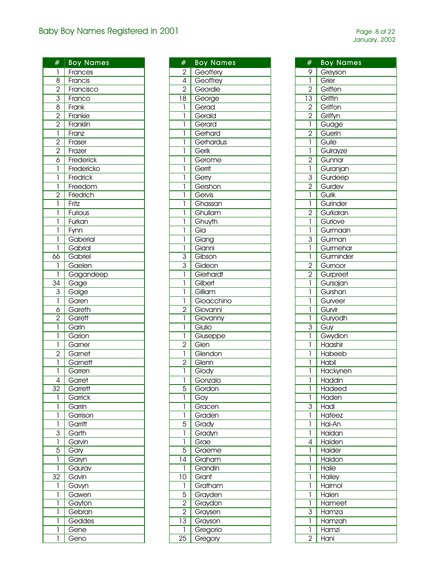| #                                                                     | <b>Boy Names</b>    |
|-----------------------------------------------------------------------|---------------------|
| 1                                                                     | Frances             |
| $\overline{8}$                                                        | Francis             |
| $\frac{2}{3}$ $\frac{8}{2}$ $\frac{2}{2}$ $\frac{1}{1}$ $\frac{2}{2}$ | Francisco           |
|                                                                       | Franco              |
|                                                                       | Frank               |
|                                                                       | Frankie             |
|                                                                       | Franklin            |
|                                                                       | Franz               |
|                                                                       | Fraser              |
|                                                                       | Frazer              |
| $\frac{2}{6}$                                                         | Frederick           |
|                                                                       | Fredericko          |
| 1                                                                     | Fredrick            |
| 1                                                                     | Freedom             |
| $\overline{c}$                                                        | Friedrich           |
| 1                                                                     | Fritz               |
| 1                                                                     | <b>Furious</b>      |
| 1                                                                     | Furkan              |
| 1                                                                     | Fynn                |
| ī                                                                     | Gaberial            |
| ľ                                                                     | Gabrial             |
| 66                                                                    | Gabriel             |
| 1                                                                     |                     |
| 1                                                                     | Gaelen<br>Gagandeep |
| 34                                                                    |                     |
| 3                                                                     | Gage                |
|                                                                       | Gaige               |
| 1                                                                     | Garen               |
| $\overline{6}$                                                        | Gareth              |
| $\overline{2}$                                                        | Garett              |
| ī                                                                     | Garin               |
| ī                                                                     | Garion              |
| $\overline{1}$                                                        | Garner              |
| $\overline{2}$                                                        | Garnet              |
| 1                                                                     | Garnett             |
| l                                                                     | Garren              |
| 4                                                                     | Garret              |
| 32                                                                    | Garrett             |
| 1                                                                     | Garrick             |
| 1                                                                     | Garrin              |
| 1                                                                     | Garrison            |
| 1                                                                     | Garritt             |
| 3                                                                     | Garth               |
| 1                                                                     | Garvin              |
| 5                                                                     | Gary                |
| 1                                                                     | Garyn               |
| 1                                                                     | Gaurav              |
| 32                                                                    | Gavin               |
| 1                                                                     | Gavyn               |
| 1                                                                     | Gawen               |
| 1                                                                     | Gayton              |
| 1                                                                     | Gebran              |
| 1                                                                     | Geddes              |
| 1                                                                     | Gene                |
| 1                                                                     | Geno                |
|                                                                       |                     |

| #                                                                     | <b>Boy Names</b>             |
|-----------------------------------------------------------------------|------------------------------|
|                                                                       | Geoffery                     |
| $\begin{array}{r} 2 \\ \hline 4 \\ \hline 2 \\ \hline 18 \end{array}$ | Geoffrey                     |
|                                                                       | Geordie                      |
|                                                                       | George                       |
| $\overline{1}$                                                        | Gerad                        |
| ī                                                                     | Gerald                       |
|                                                                       |                              |
| 1                                                                     | Gerard                       |
| 1                                                                     | Gerhard                      |
| 1                                                                     | Gerhardus                    |
| 1                                                                     | Gerik                        |
| 1                                                                     | Gerome                       |
| 1                                                                     | Gerrit                       |
| 1                                                                     | Gerry                        |
| ľ                                                                     | Gershon                      |
| ī                                                                     | Gervis                       |
| ī                                                                     | Ghassan                      |
| ī                                                                     | Ghullam                      |
| ī                                                                     | Ghuyth                       |
| ľ                                                                     | Gia                          |
|                                                                       |                              |
| 1                                                                     | <mark>Giang</mark><br>Gianni |
| $\overline{1}$                                                        |                              |
|                                                                       | Gibson                       |
| $\frac{3}{3}$                                                         | Gideon                       |
|                                                                       | Gierhardt                    |
| ī                                                                     | Gilbert                      |
| ī                                                                     | Gilliam                      |
| $\overline{1}$                                                        | Gioacchino                   |
|                                                                       | Giovanni                     |
| $\frac{2}{1}$                                                         | Giovanny                     |
| Ī                                                                     |                              |
| $\overline{1}$                                                        | Giulio                       |
|                                                                       | Giuseppe                     |
| $\frac{2}{1}$                                                         | Glen                         |
|                                                                       | Glendon                      |
| $\frac{2}{1}$                                                         | Glenn                        |
|                                                                       | Glody                        |
| ī                                                                     | Gonzalo                      |
| 5                                                                     | Gordon                       |
| ī                                                                     | Goy                          |
| 1                                                                     | Gracen                       |
| ī                                                                     | Graden                       |
| $\overline{5}$                                                        | Grady                        |
| $\mathsf{I}$                                                          | Gradyn                       |
|                                                                       | Grae                         |
| $\frac{1}{5}$                                                         | Graeme                       |
|                                                                       |                              |
| $\overline{14}$                                                       | Graham                       |
| $\overline{1}$                                                        | Grandin                      |
| $\overline{10}$                                                       | Grant                        |
|                                                                       | Gratham                      |
| $\frac{1}{5}$<br>$\frac{5}{2}$<br>$\frac{2}{13}$<br>$\frac{1}{1}$     | Grayden                      |
|                                                                       | Graydon                      |
|                                                                       | Graysen                      |
|                                                                       | Grayson                      |
|                                                                       | Gregorio                     |
| $\overline{25}$                                                       | Gregory                      |

| #               | <b>Boy Names</b> |
|-----------------|------------------|
| 9               | Greyson          |
| ī               | Grier            |
| $\overline{2}$  | Griffen          |
|                 |                  |
| $\overline{13}$ | Griffin          |
| $\overline{2}$  | Griffon          |
| $\frac{2}{1}$   | Griffyn          |
|                 | Guage            |
| $\overline{c}$  | Guerin           |
| $\overline{1}$  | Guile            |
| 1               | Gulrayze         |
| $\frac{2}{1}$   | Gunnar           |
|                 | Guranjan         |
| $\overline{3}$  | Gurdeep          |
| $\overline{2}$  | Gurdev           |
| $\overline{1}$  | Gurik            |
| ī               | Gurinder         |
| $\overline{2}$  | Gurkaran         |
| ī               | Gurlove          |
| 1               | Gurmaan          |
| $\overline{3}$  | Gurman           |
| 1               | Gurmehar         |
| 1               | Gurminder        |
| $\overline{2}$  | Gurnoor          |
| $\overline{2}$  | Gurpreet         |
| ī               |                  |
| 1               | Gursajan         |
|                 | Gurshan          |
| 1               | Gurveer          |
| 1               | Gurvir           |
| 1               | Guryodh          |
| 3               | Guy              |
| 1               | Gwydion          |
| l               | Haashir          |
| 1               | Habeeb           |
| 1               | <b>Habil</b>     |
| 1               | Hackynen         |
| I               | Haddin           |
| 1               | Hadeed           |
| 1               | Haden            |
| 3               | Hadi             |
| 1               | Hafeez           |
| 1               | Hai-An           |
| 1               | Haidan           |
| 4               | Haiden           |
| 1               | Haider           |
| 1               | Haidon           |
| 1               | Haile            |
| 1               | Hailey           |
| 1               | Haimol           |
| 1               | Halen            |
| 1               | Hameet           |
| 3               | Hamza            |
|                 |                  |
| 1               | Hamzah           |
| 1               | Hamzi            |
| 2               | <b>Hani</b>      |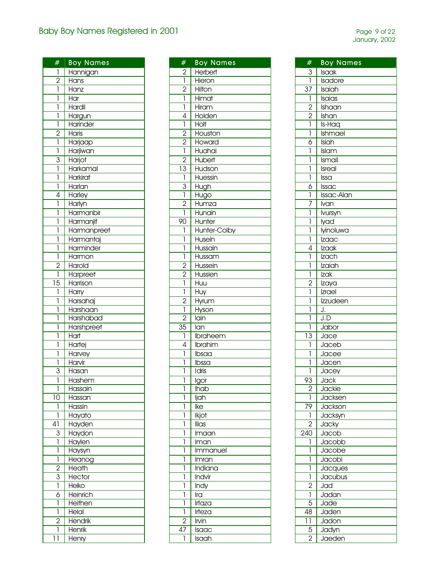| #               | <b>Boy Names</b> |
|-----------------|------------------|
| $\mathbf{I}$    | Hannigan         |
| $\frac{2}{1}$   | Hans             |
|                 | .<br>Hanz        |
| 1               | Har              |
| ľ               | Hardil           |
| ľ               | Hargun           |
| ī               | Harinder         |
|                 | Haris            |
| $\frac{2}{1}$   |                  |
|                 | Harjaap          |
| ī               | Harjiwan         |
| $\overline{3}$  | Harjot           |
| ī               | Harkamal         |
| ī               | <b>Harkirat</b>  |
| ī               | Harlan           |
| 4               | Harley           |
| ī               | Harlyn           |
| ľ               | Harmanbir        |
|                 |                  |
| ľ               | Harmanjit        |
| ľ               | Harmanpreet      |
| Ī               | Harmantaj        |
| ī               | Harminder        |
| ī               | Harmon           |
| $\overline{c}$  | Harold           |
| ī               | Harpreet         |
| $\overline{15}$ | Harrison         |
| ī               | Harry            |
| ľ               |                  |
|                 | Harsahaj         |
| ľ               | Harshaan         |
| ľ               | Harshabad        |
| 1               | Harshpreet       |
| 1               | Hart             |
| 1               | Hartej           |
| ī               | Harvey           |
| 1               | Harvir           |
| 3               | Hasan            |
| 1               | Hashem           |
| ľ               | Hassain          |
| 10              |                  |
|                 | Hassan           |
| 1               | Hassin           |
| ī               | Hayato           |
| $\overline{41}$ | Hayden           |
| $\overline{3}$  | Haydon           |
| ī               | Haylen           |
| 1               | Haysyn           |
| ī               | Heanog           |
|                 | Heath            |
| $\frac{2}{3}$   | Hector           |
|                 | Heiko            |
| $\overline{6}$  | Heinrich         |
|                 |                  |
| l               | Heithen          |
| Ī               | Helal            |
| $\overline{2}$  | Hendrik          |
| ľ               | Henrik           |
| 11              | Henry            |

| #               | <b>Boy Names</b>          |
|-----------------|---------------------------|
| $\overline{2}$  | Herbert                   |
| $\overline{1}$  | Hieron                    |
| $\overline{2}$  | Hilton                    |
| 1               | Himat                     |
| Ī               | Hiram                     |
| 4               | Holden                    |
| 1               | <b>Holt</b>               |
| $\overline{2}$  | Houston                   |
| $\overline{2}$  | Howard                    |
| 1               | Huahai                    |
| $\overline{2}$  | Hubert                    |
| $\overline{13}$ | Hudson                    |
| 1               | Huessin                   |
| $\overline{3}$  | Hugh                      |
| 1               | Hugo                      |
| $\overline{2}$  | Humza                     |
| 1               | Hunain                    |
| 90              |                           |
| 1               | Hunter<br>Hunter-Colby    |
|                 |                           |
| 1               | Husein                    |
| 1               | Hussain                   |
| 1               | Hussam                    |
| $\overline{c}$  | Hussein                   |
| $\overline{2}$  | Hussien                   |
| 1               | Huu                       |
| 1               | Huy                       |
| $\overline{2}$  | Hyrum                     |
| ī               | Hyson                     |
| $\overline{2}$  | lain                      |
| 35              | lan                       |
| 1               | Ibraheem                  |
| 4               | Ibrahim                   |
| 1               | Ibsaa                     |
| 1               | Ibssa                     |
| 1               | Idris                     |
| 1               | Igor                      |
| 1               | <b>Ihab</b>               |
| 1               | ljah                      |
| 1               | Ike                       |
| 1               | Ikjot                     |
| 1               | llias                     |
| 1               | $\overline{\text{Im}}$ an |
| 1               | Iman                      |
| 1               | Immanuel                  |
| 1               | Imran                     |
| 1               | Indiana                   |
| 1               | Indvir                    |
| 1               | $Ind\overline{V}$         |
| 1               | Ira                       |
| 1               | Irtaza                    |
| I               | Irteza                    |
| 2               | Irvin                     |
| 47              | <b>Isaac</b>              |
| 1               | <b>Isaah</b>              |
|                 |                           |

| #               | <b>Boy Names</b>                         |
|-----------------|------------------------------------------|
| $\frac{3}{1}$   | Isaak                                    |
|                 | Isadore                                  |
| $\overline{37}$ | Isaiah                                   |
| ī               | $\overline{\overline{\mathsf{Is}}}$ aias |
|                 | Ishaan                                   |
|                 | Ishan                                    |
| $\frac{2}{2}$   | Is-Haq                                   |
| ī               | Ishmael                                  |
| $\overline{6}$  |                                          |
| ī               | Isiah                                    |
|                 | Islam                                    |
| 1               | Ismail                                   |
| 1               | Isreal                                   |
| ī               | Issa                                     |
| $\overline{6}$  | Issac                                    |
| 1               | Issac-Alan                               |
| 7               | Ivan                                     |
| 1               | lvursyn                                  |
| 1               | lyad                                     |
| 1               | lyinoluwa                                |
| 1               |                                          |
|                 | <u>Izaac</u>                             |
| 4               | Izaak                                    |
| 1               | Izach                                    |
| l               | Izaiah                                   |
| ī               | Izak                                     |
| $\overline{2}$  | Izaya                                    |
| ľ               | Izrael                                   |
| l               | Izzudeen                                 |
| ľ               | J.                                       |
| ľ               | J.D                                      |
| 1               | Jabor                                    |
| $\overline{13}$ | Jace                                     |
| 1               | Jaceb                                    |
| 1               | Jacee                                    |
| 1               | Jacen                                    |
| 1               | Jacey                                    |
| 93              | Jack                                     |
|                 | Jackie                                   |
| ī               | Jacksen                                  |
| 79              |                                          |
|                 | Jackson                                  |
| 1               | Jacksyn                                  |
| $\overline{2}$  | Jacky                                    |
| 240             | Jacob                                    |
| 1               | Jacobb                                   |
| 1               | Jacobe                                   |
| 1               | Jacobi                                   |
| 1               | Jacques                                  |
| ī               | Jacubus                                  |
| $\overline{c}$  | Jad                                      |
| 1               | Jadan                                    |
| 5               | Jade                                     |
| 48              | Jaden                                    |
| $\overline{11}$ | Jadon                                    |
|                 | Jadyn                                    |
| $\frac{5}{2}$   | Jaeden                                   |
|                 |                                          |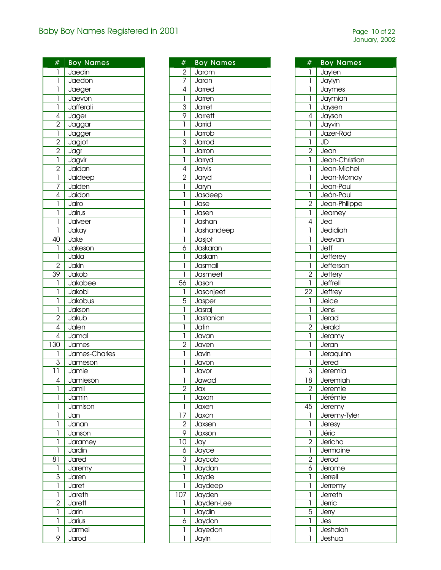| #                                         | <b>Boy Names</b> |
|-------------------------------------------|------------------|
| 1                                         | Jaedin           |
| ī                                         | Jaedon           |
| 1                                         | Jaeger           |
| ī                                         | Jaevon           |
| ī                                         | Jafferali        |
| $\overline{4}$                            | Jager            |
|                                           | Jaggar           |
| $\frac{2}{1}$                             | Jagger           |
|                                           | Jagjot           |
| $\frac{2}{2}$ $\frac{2}{1}$ $\frac{2}{1}$ |                  |
|                                           | Jagr             |
|                                           | Jagvir           |
|                                           | Jaidan           |
|                                           | Jaideep          |
| $\overline{7}$                            | Jaiden           |
| $\overline{4}$                            | Jaidon           |
| ī                                         | Jairo            |
| ī                                         | Jairus           |
| ī                                         | Jaiveer          |
| ī                                         | Jakay            |
| 40                                        | Jake             |
| 1                                         | Jakeson          |
| ī                                         | Jakia            |
| $\overline{2}$                            | Jakin            |
| $\overline{39}$                           | Jakob            |
| $\overline{1}$                            | Jakobee          |
| $\overline{1}$                            | Jakobi           |
| 1                                         | Jakobus          |
| 1                                         | Jakson           |
| $\overline{2}$                            | Jakub            |
| $\overline{4}$                            | Jalen            |
| $\overline{4}$                            | Jamal            |
| $\overline{130}$                          | James            |
| 1                                         | James-Charles    |
| $\overline{3}$                            |                  |
| $\overline{11}$                           | Jameson          |
|                                           | Jamie            |
| 4                                         | Jamieson         |
| 1                                         | Jamil            |
| 1                                         | Jamin            |
| 1                                         | Jamison          |
| 1                                         | Jan              |
| 1                                         | Janan            |
| 1                                         | Janson           |
| 1                                         | Jaramey          |
| 1                                         | Jardin           |
| 81                                        | Jared            |
| 1                                         | Jaremy           |
| 3                                         | Jaren            |
| ī                                         | Jaret            |
| ī                                         | Jareth           |
| $\overline{2}$                            | Jarett           |
| ī                                         | Jarin            |
| ľ                                         | Jarius           |
| 1                                         | Jarmel           |
| 9                                         | Jarod            |
|                                           |                  |

| #              | <b>Boy Names</b> |
|----------------|------------------|
| $\overline{2}$ | Jarom            |
| $\overline{7}$ | Jaron            |
| $\overline{4}$ | Jarred           |
| $\overline{1}$ | Jarren           |
| $\overline{3}$ | Jarret           |
| $\overline{9}$ | <b>Jarrett</b>   |
| 1              | Jarrid           |
| 1              | Jarrob           |
| $\overline{3}$ | Jarrod           |
| 1              | Jarron           |
|                |                  |
| 1              | Jarryd           |
| $\overline{4}$ | Jarvis           |
| $\overline{2}$ | Jaryd            |
| 1              | Jaryn            |
| 1              | Jasdeep          |
| 1              | Jase             |
| 1              | Jasen            |
| 1              | Jashan           |
| 1              | Jashandeep       |
| 1              | Jasjot           |
| $\overline{6}$ | Jaskaran         |
| 1              | Jaskarn          |
| 1              | Jasmail          |
| 1              | Jasmeet          |
| 56             | Jason            |
| 1              | Jasonjeet        |
| $\overline{5}$ | Jasper           |
| $\overline{1}$ | Jasraj           |
| 1              | Jastanian        |
| 1              | Jatin            |
| ī              | Javan            |
| $\overline{2}$ | Javen            |
|                |                  |
| 1              | Javin            |
| 1              | Javon            |
| 1              | Javor            |
| ī              | Jawad            |
| $\overline{2}$ | Jax              |
| 1              | Jaxan            |
| 1              | Jaxe <u>n</u>    |
| $\frac{1}{2}$  | Jaxon            |
| $\overline{2}$ | Jaxsen           |
| 9              | Jaxson           |
| $\frac{10}{1}$ | Jay              |
| $\overline{6}$ | Jayce            |
| 3              | Jaycob           |
| 1              | Jaydan           |
| 1              | Jayde            |
| 1              | Jaydeep          |
| 107            | Jayden           |
| 1              | Jayden-Lee       |
| 1              | Jaydin           |
| 6              | Jaydon           |
| 1              | Jayedon          |
| 1              | Jayin            |

| #               | <b>Boy Names</b> |
|-----------------|------------------|
| 1               | Jaylen           |
| ī               | Jaylyn           |
| ī               | Jaymes           |
| l               | Jaymian          |
| 1               | Jaysen           |
| 4               | Jayson           |
| ī               | Jayvin           |
| 1               | Jazer-Rod        |
| ī               | JD               |
|                 | Jean             |
| $\frac{2}{1}$   | Jean-Christian   |
| 1               | Jean-Michel      |
| 1               | Jean-Mornay      |
| 1               | Jean-Paul        |
| ī               | Jeán-Paul        |
| $\overline{2}$  | Jean-Philippe    |
| ī               | Jearney          |
| $\overline{4}$  | Jed              |
| ī               | Jedidiah         |
| ī               | Jeevan           |
| Ī               | Jeff             |
| Ī               | Jefferey         |
| ī               | Jefferson        |
| $\overline{2}$  | Jeffery          |
| ī               | Jeffrell         |
| $\overline{22}$ | Jeffrey          |
| ī               | Jeice            |
| ī               | Jens             |
| ī               | Jerad            |
| $\overline{2}$  | Jerald           |
| ī               | Jeramy           |
| 1               | Jeran            |
| 1               | Jeraquinn        |
| 1               | Jered            |
| 3               | Jeremia          |
| 18              | Jeremiah         |
| $\overline{2}$  | Jeremie          |
| į               | Jérémie          |
| $\overline{45}$ | Jeremy           |
| 1               | Jeremy-Tyler     |
| ī               | Jeresy           |
| 1               | Jéric            |
| $\overline{2}$  | Jericho          |
| ī               | Jermaine         |
|                 | Jerod            |
| $\frac{2}{6}$   | Jerome           |
| 1               | Jerrell          |
| 1               | Jerremy          |
| 1               | Jerreth          |
| 1               | Jerric           |
| $\overline{5}$  | Jerry            |
| ľ               | Jes              |
| 1               | Jeshaiah         |
| 1               | <u>Jeshua</u>    |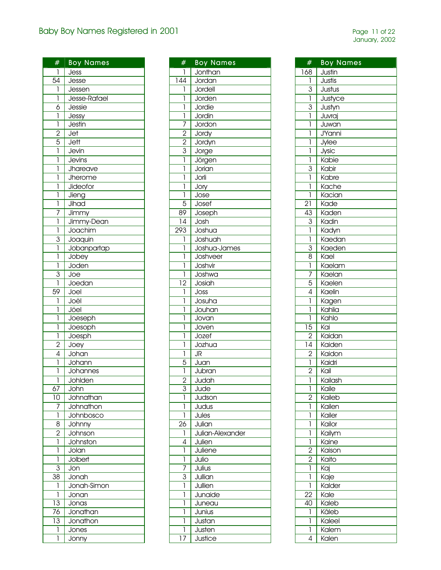| #                         | <b>Boy Names</b>        |
|---------------------------|-------------------------|
|                           |                         |
|                           | Jess                    |
| $\overline{54}$           | Jesse                   |
| $\overline{1}$            | Jessen                  |
| $\overline{1}$            | Jesse-Rafael            |
|                           | Jessie                  |
| $\frac{6}{1}$             | Jessy                   |
|                           | Jestin                  |
| $\frac{2}{5}$             | Jet                     |
|                           | Jett                    |
|                           | Jevin                   |
| $\overline{1}$            | Jevins                  |
| $\overline{1}$            | Jhareave                |
| ī                         | Jherome                 |
| Ī                         | Jideofor                |
| ī                         | Jieng                   |
| ī                         | Jihad                   |
|                           | Jimmy                   |
| $\frac{7}{1}$             | Jimmy-Dean              |
| ī                         | Joachim                 |
|                           | Joaquin                 |
| $rac{3}{1}$               | Jobanpartap             |
|                           | Jobey                   |
| $\frac{1}{1}$             | Joden                   |
|                           | $\overline{\text{Joe}}$ |
| $rac{3}{1}$               | Joedan                  |
| 59                        | Joel                    |
|                           |                         |
| Ī                         | Joël                    |
| ī                         | Jöel                    |
| ī                         | Joeseph                 |
| 1                         | Joesoph                 |
| $\overline{1}$            | Joesph                  |
| $\frac{2}{4}$             | Joey                    |
|                           | Johan                   |
|                           | Johann                  |
| ī                         | Johannes                |
| 1                         | Johlden                 |
| 67                        | John                    |
| $\overline{10}$           | Johnathan               |
| 7                         | Johnathon               |
| ī                         | Johnbosco               |
| $\overline{8}$            | <b>Johnny</b>           |
| $\frac{2}{1}$             | Johnson                 |
|                           | Johnston                |
| Ī                         | Jolan                   |
| Ī                         | <b>Jolbert</b>          |
| $\overline{\overline{3}}$ | Jon                     |
| $\overline{38}$           | Jonah                   |
| 1                         | Jonah-Simon             |
| ī                         | Jonan                   |
| $\overline{13}$           | Jonas                   |
| 76                        | Jonathan                |
| $\overline{13}$           | Jonathon                |
| 1                         | Jones                   |
| 1                         | Jonny                   |
|                           |                         |

| #                       | <b>Boy Names</b>  |
|-------------------------|-------------------|
| I                       | Jonthan           |
| 144                     | Jordan            |
| 1                       | Jordell           |
| $\overline{\mathbf{I}}$ | Jorden            |
| $\overline{\mathbf{I}}$ | Jordie            |
| ī                       | Jordin            |
| 7                       | Jordon            |
| $\overline{2}$          | Jordy             |
| $\overline{2}$          | Jordyn            |
| $\overline{3}$          |                   |
| ī                       | Jorge             |
|                         | Jörgen            |
| 1                       | Jorian            |
| l                       | Jorli             |
| 1                       | Jory              |
| 1                       | Jose              |
| $\overline{5}$          | Josef             |
| 89                      | Joseph            |
| 14                      | Josh              |
| 293                     | Joshua            |
| 1                       | Joshuah           |
| ľ                       | Joshua-James      |
| 1                       | Joshveer          |
| l                       | Joshvir           |
| 1                       | Joshwa            |
| 12                      | Josiah            |
| 1                       | Joss              |
| 1                       | Josuha            |
| 1                       | Jouhan            |
| 1                       | Jovan             |
| 1                       | Joven             |
| 1                       | Jozef             |
| 1                       | Jozhua            |
| 1                       | JR                |
| $\overline{5}$          | Juan              |
| Î                       | Jubran            |
| $\overline{2}$          | Judah             |
| 3                       | Jude              |
| 1                       | Judson            |
| 1                       | Judus             |
| 1                       | Jules             |
| 26                      | Julian            |
| 1                       | Julian-Alexander  |
| 4                       | Julien            |
| 1                       | Juliene           |
| 1                       | Julio             |
| 7                       | Julius            |
| 3                       | Jullian           |
| 1                       | Jullien           |
| 1                       | Junaide           |
| 1                       | Juneau            |
| 1                       | Junius            |
|                         |                   |
| 1                       | Justan            |
| I<br>7                  | Justen<br>Justice |
| 1                       |                   |

| #               | <b>Boy Names</b> |
|-----------------|------------------|
|                 |                  |
| 168             | Justin           |
| 1               | Justis           |
| $\overline{3}$  | Justus           |
| ī               | Justyce          |
| $\overline{3}$  | Justyn           |
| ī               | Juvraj           |
| ľ               | Juwan            |
| 1               | <b>J'Yanni</b>   |
| 1               | Jylee            |
| 1               | Jysic            |
| 1               | Kabie            |
| $\overline{3}$  | Kabir            |
| ī               | Kabre            |
| ľ               | Kache            |
| ī               | Kacian           |
| $\overline{21}$ | Kade             |
| 43              | Kaden            |
| $\overline{3}$  | Kadin            |
| ī               | Kadyn            |
| ľ               | Kaedan           |
| $\overline{3}$  | Kaeden           |
| $\overline{8}$  | Kael             |
| ī               | Kaelam           |
| 7               | Kaelan           |
| $\overline{5}$  |                  |
| $\overline{4}$  | Kaelen           |
|                 | Kaelin           |
| 1               | Kagen            |
| l               | Kahlia           |
| 1               | Kahlo            |
| $\overline{15}$ | Kai              |
| $\frac{2}{14}$  | Kaidan           |
|                 | Kaiden           |
| $\frac{2}{1}$   | Kaidon           |
|                 | Kaidri           |
| $\overline{2}$  | Kail             |
| 1               | Kailash          |
| ī               | Kaile            |
| $\overline{2}$  | Kaileb           |
| 1               | Kailen           |
| 1               | Kailer           |
| 1               | Kailor           |
| 1               | Kailym           |
| 1               | Kaine            |
| $\overline{2}$  | Kaison           |
| $\overline{2}$  | Kaito            |
| 1               | Kaj              |
| 1               | Kaje             |
| 1               | Kalder           |
| 22              | Kale             |
| 40              | Kaleb            |
| Ī               | Kãleb            |
| 1               | Kaleel           |
| 1               | Kalem            |
| 4               | Kalen            |
|                 |                  |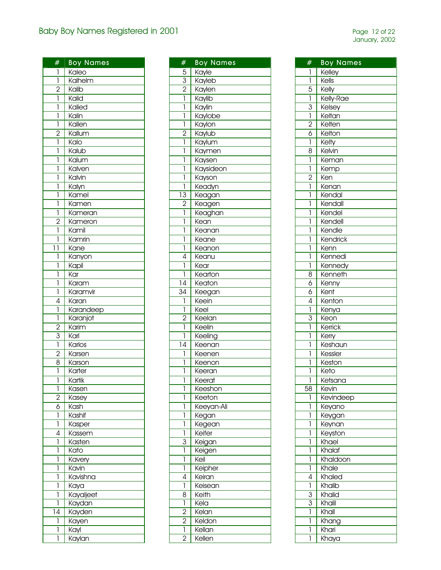| #                       | <b>Boy Names</b>         |
|-------------------------|--------------------------|
| 1                       | Kaleo                    |
| ī                       | Kalhelm                  |
| $\overline{2}$          | Kalib                    |
| $\overline{\mathbf{I}}$ | Kalid                    |
| 1                       | Kalied                   |
|                         |                          |
| 1                       | Kalin                    |
| 1                       | Kallen                   |
| $\overline{2}$          | Kallum                   |
| ī                       | Kalo                     |
| 1                       | Kalub                    |
| 1                       | Kalum                    |
| 1                       | Kalven                   |
| 1                       | Kalvin                   |
| 1                       | Kalyn                    |
|                         |                          |
| 1                       | Kamel                    |
| $\overline{\mathbf{I}}$ | Kamen                    |
| ī                       | Kameran                  |
| $\overline{2}$          | Kameron                  |
| ľ                       | Kamil                    |
| 1                       | Kamrin                   |
| 11                      | Kane                     |
| 1                       | Kanyon                   |
|                         |                          |
| 1                       | Kapil                    |
| 1                       | Kar                      |
| 1                       | Karam                    |
| 1                       | Karamvir                 |
| 4                       | Karan                    |
| $\overline{1}$          | Karandeep                |
| ī                       | Karanjot                 |
| $\overline{2}$          | Karim                    |
| $\overline{3}$          | Karl                     |
| ī                       | Karlos                   |
| $\overline{2}$          | Karsen                   |
|                         |                          |
| 8                       | Karson                   |
| ľ                       | Karter                   |
| 1                       | Kartik                   |
| 1                       | Kasen                    |
| $\overline{2}$          | Kasey                    |
| 6                       | Kash                     |
| 1                       | Kashif                   |
| 1                       | Kasper                   |
| 4                       | Kassem                   |
| 1                       | Kasten                   |
|                         |                          |
| 1                       | $\overline{\text{Kato}}$ |
| 1                       | Kavery                   |
| 1                       | Kavin                    |
| 1                       | Kavishna                 |
| 1                       | Kaya                     |
| 1                       | Kayaljeet                |
| 1                       | Kaydan                   |
| 14                      | Kayden                   |
| 1                       |                          |
|                         | Kayen                    |
| 1                       | Kayl                     |
| 1                       | Kaylan                   |

| #               | <b>Boy Names</b> |
|-----------------|------------------|
|                 | Kayle            |
| $\frac{5}{2}$   | Kayleb           |
|                 | Kaylen           |
| ī               | Kaylib           |
| Ī               | Kaylin           |
| 1               | Kaylobe          |
| 1               | Kaylon           |
| $\overline{2}$  | Kaylub           |
| 1               | Kaylum           |
| 1               | Kaymen           |
| 1               | Kaysen           |
| 1               | Kaysideon        |
| 1               | Kayson           |
| 1               | Keadyn           |
| $\overline{13}$ | Keagan           |
| $\overline{2}$  | Keagen           |
| 1               | Keaghan          |
| 1               | Kean             |
| 1               | Keanan           |
|                 |                  |
| 1<br>1          | Keane            |
| 4               | Keanon           |
|                 | Keanu            |
| 1               | Kear             |
| Ī               | Kearton          |
| 14              | Keaton           |
| $\overline{34}$ | Keegan           |
| 1               | Keein            |
| ī               | Keel             |
| $\overline{2}$  | Keelan           |
| 1               | Keelin           |
| 1               | Keeling          |
| 14              | Keenan           |
| 1               | Keenen           |
| 1               | Keenon           |
| 1               | Keeran           |
| 1               | Keerat           |
| 1               | Keeshon          |
| 1               | Keeton           |
| 1               | Keeyan-Ali       |
| 1               | Kegan            |
| 1               | Kegean           |
| 1               | Keifer           |
| 3               | Keigan           |
| 1               | Keigen           |
| 1               | Keil             |
| 1               | Keipher          |
| 4               | Keiran           |
| 1               | Keisean          |
| 8               | Keith            |
| 1               | Kela             |
| $\overline{c}$  | Kelan            |
| $\overline{2}$  | Keldon           |
| ī               | Kellan           |
| $\overline{2}$  | Kellen           |

| #              | <b>Boy Names</b> |
|----------------|------------------|
| I              | Kelley           |
| ī              | Kells            |
| $\overline{5}$ | Kelly            |
| ī              | Kelly-Rae        |
|                | Kelsey           |
| $\frac{3}{1}$  | Keltan           |
| $\overline{2}$ | Kelten           |
| $\overline{6}$ | Kelton           |
| ī              | Kelty            |
| 8              | Kelvin           |
| ī              | Keman            |
| ī              | Kemp             |
| $\overline{2}$ | Ken              |
| ī              | Kenan            |
| 1              | Kendal           |
| 1              | Kendall          |
| 1              | Kendel           |
| 1              | Kendell          |
| 1              | Kendle           |
| 1              | Kendrick         |
| ľ              |                  |
| ľ              | Kenn<br>Kennedi  |
|                |                  |
| ī              | Kennedy          |
| $\overline{8}$ | Kenneth          |
| $\overline{6}$ | Kenny            |
| $\overline{6}$ | Kent             |
| 4              | Kenton           |
| ī              | Kenya            |
| 3              | Keon             |
| ī              | Kerrick          |
| 1              | Kerry            |
| ľ              | Keshaun          |
| 1              | Kessler          |
| 1              | Keston           |
| 1              | Keto             |
| ı              | Ketsana          |
| 58             | Kevin            |
| 1              | Kevindeep        |
| 1              | Keyano           |
| 1              | Keygan           |
| 1              | Keynan           |
| 1              | Keyston          |
| 1              | Khael            |
| 1              | Khalaf           |
| 1              | Khaldoon         |
| 1              | Khale            |
| 4              | Khaled           |
| 1              | Khalib           |
| $\overline{3}$ | Khalid           |
| $\overline{3}$ | Khalil           |
| 1              | Khall            |
| 1              | Khang            |
| 1              | Khari            |
| 1              | Khay <u>a</u>    |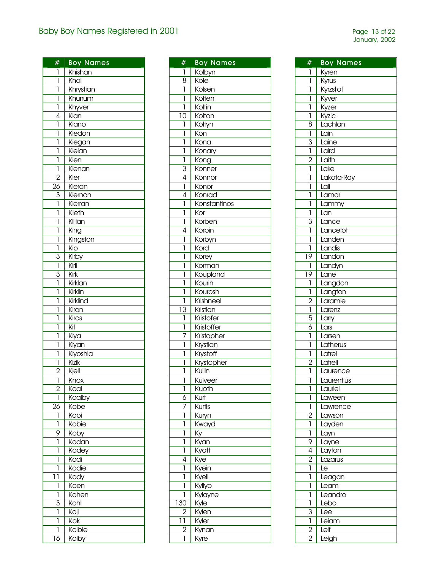| $\overline{\#}$         | <b>Boy Names</b>        |
|-------------------------|-------------------------|
|                         | Khishan                 |
| 1<br>ľ                  | <b>Khoi</b>             |
| 1                       | Khrystian               |
| 1                       |                         |
| 1                       | Khurrum                 |
| 4                       | Khyver                  |
| 1                       | Kia <u>n</u>            |
|                         | Kiano                   |
| 1<br>1                  | Kiedon                  |
| 1                       | Kiegan<br>Kielan        |
|                         |                         |
| 1                       | Kien                    |
| 1                       | Kienan                  |
| $\overline{2}$          | Kier                    |
| $\overline{26}$         | Kieran                  |
| $rac{3}{1}$             | Kiernan                 |
|                         | Kierran                 |
| 1                       | Kieth                   |
| 1                       | Killian                 |
| 1                       | King                    |
| $\overline{\mathbf{I}}$ | Kingston                |
| ī                       | $\overline{\text{Kip}}$ |
| $\overline{3}$          | Kirby                   |
| ī                       | Kiril                   |
| 3                       | Kirk                    |
| ī                       | Kirklan                 |
| ī                       | Kirklin                 |
| 1                       | Kirklind                |
| 1                       | Kiron                   |
| 1                       | Kiros                   |
| 1                       | Kit                     |
| 1                       | Kiya                    |
| 1                       | Kiyan                   |
| 1                       | Kiyoshia                |
| 1                       | <b>Kizik</b>            |
| $\overline{2}$          | Kjell                   |
| 1                       | Knox                    |
| $\overline{2}$          | Koal                    |
| 1                       | Koalby                  |
| 26                      | Kobe                    |
| 1                       | Kobi                    |
| 1                       | Kobie                   |
| 9                       | Koby                    |
| 1                       | Kodan                   |
| 1                       | Kodey                   |
| 1                       | Kodi                    |
| 1                       | Kodie                   |
| 11                      | Kody                    |
| 1                       | Koen                    |
| 1                       | Kohen                   |
| 3                       | Kohl                    |
| 1                       | Koji                    |
| 1                       | Kok                     |
| 1                       | Kolbie                  |
| 16                      | Kolby                   |
|                         |                         |

| #              | <b>Boy Names</b>  |
|----------------|-------------------|
| 1              | Kolbyn            |
| 8              | Kole              |
| $\overline{1}$ | Kolsen            |
| 1              | Kolten            |
| 1              | Koltin            |
| 10             | Kolton            |
| 1              | Koltyn            |
| 1              | Kon               |
|                |                   |
| 1<br>1         | Kona              |
|                | Konary            |
| 1              | Kong              |
| $\overline{3}$ | Konner            |
| $\overline{4}$ | Konnor            |
| ī              | Konor             |
| 4              | Konrad            |
| 1              | Konstantinos      |
| 1              | Kor               |
| 1              | Korben            |
| 4              | Korbin            |
| 1              | Korbyn            |
| 1              | Kord              |
| 1              | Korey             |
| l              | Korman            |
| l              | Koupland          |
| 1              | Kourin            |
| 1              | Kourosh           |
| 1              | <b>Krishneel</b>  |
| 13             | Kristian          |
| 1              | <b>Kristofer</b>  |
| 1              | Kristoffer        |
| 7              | Kristopher        |
| 1              | Krystian          |
| 1              | Krystoff          |
| 1              | <b>Krystopher</b> |
| 1              | Kullin            |
| ī              |                   |
| 1              | Kulveer           |
| 6              | Kuoth<br>Kurt     |
|                |                   |
| 7              | Kurtis            |
| 1              | Kuryn             |
| 1              | Kwayd             |
| 1              | Ky                |
| 1              | Kyan              |
| 1              | Kyatt             |
| 4              | Kye               |
| 1              | Kyein             |
| I              | Kyell             |
| 1              | Kyiiyo            |
| 1              | Kylayne           |
| 130            | Kyle              |
| $\overline{2}$ | Kylen             |
| ן ן            | Kyler             |
| 2              | Kynan             |
| 1              | Kyre              |

| #                   | Boy Names  |
|---------------------|------------|
| 1                   | Kyren      |
| 1                   | Kyrus      |
| ľ                   | Kyrzstof   |
| 1                   | Kyver      |
| l                   | Kyzer      |
| 1                   | Kyzic      |
| 8                   | Lachlan    |
| 1                   | Lain       |
| 3                   | Laine      |
| 1                   | Laird      |
|                     | Laith      |
| $\overline{2}$<br>1 |            |
|                     | Lake       |
| 1                   | Lakota-Ray |
| 1                   | Lali       |
| 1                   | Lamar      |
| 1                   | Lammy      |
| 1                   | Lan        |
| $\overline{3}$      | Lance      |
| ľ                   | Lancelot   |
| 1                   | Landen     |
| 1                   | Landis     |
| 19                  | Landon     |
| $\mathbf{I}$        | Landyn     |
| $\overline{19}$     | Lane       |
| 1                   | Langdon    |
| 1                   | Langton    |
| $\overline{2}$      | Laramie    |
| 1                   | Larenz     |
| 5                   | Larry      |
| 6                   | Lars       |
| 1                   | Larsen     |
| 1                   | Latherus   |
| 1                   | Latrel     |
| $\overline{2}$      | Latrell    |
| 1                   | Laurence   |
| ı                   | Laurentius |
| 1                   | Lauriel    |
| 1                   | Laween     |
| 1                   | Lawrence   |
| $\overline{2}$      | Lawson     |
| 1                   | Layden     |
| 1                   | Layn       |
| 9                   | Layne      |
| 4                   | Layton     |
| $\overline{2}$      | Lazarus    |
| 1                   | Le         |
| 1                   | Leagan     |
| 1                   | Leam       |
| 1                   | Leandro    |
| 1                   | Lebo       |
| 3                   | Lee        |
| 1                   | Leiam      |
| $\overline{2}$      | Leif       |
| $\overline{2}$      | Leigh      |
|                     |            |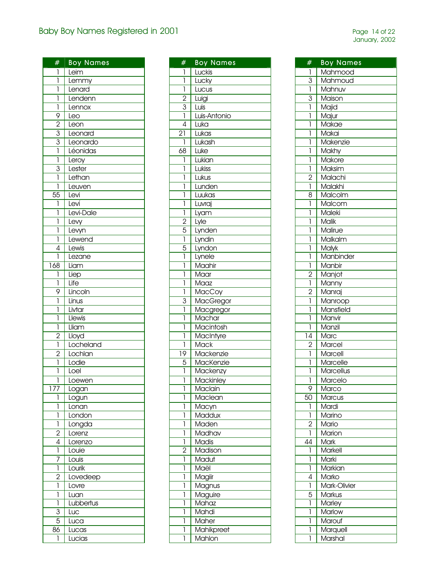| #                       | <b>Boy Names</b> |
|-------------------------|------------------|
| 1                       | Leim             |
| $\overline{1}$          | Lemmy            |
| $\overline{\mathbb{I}}$ | Lenard           |
| $\overline{1}$          | Lendenn          |
| $\overline{1}$          | Lennox           |
| 9                       | Leo              |
| $\overline{2}$          | Leon             |
|                         |                  |
| $\frac{3}{3}$           | Leonard          |
|                         | Leonardo         |
|                         | Léonidas         |
| $\overline{\mathbf{I}}$ | Leroy            |
| $\overline{3}$          | Lester           |
| ľ                       | Lethan           |
| ī                       | Leuven           |
| $\overline{55}$         | Levi             |
| $\mathbf{I}$            | Leví             |
| $\overline{1}$          | Levi-Dale        |
| $\overline{1}$          | Levy             |
| ī                       | Levyn            |
| $\overline{1}$          |                  |
|                         | Lewend           |
| 4                       | Lewis            |
| 1                       | Lezane           |
| 168                     | Liam             |
| 1                       | Liep             |
| 1                       | Life             |
| 9                       | Lincoln          |
| 1                       | Linus            |
| $\overline{\mathbb{I}}$ | Livtar           |
| ī                       | Llewis           |
| $\mathbf{I}$            | Lliam            |
| $\overline{2}$          | Lloyd            |
| $\overline{\mathbf{I}}$ | Locheland        |
| $\overline{2}$          | Lochlan          |
| ī                       | Lodie            |
| ī                       | Loel             |
| 1                       |                  |
| 17<br>7                 | Loewen<br>Logan  |
| 1                       |                  |
|                         | Logun            |
| 1<br>1                  | Lonan<br>London  |
| 1                       | Longda           |
|                         |                  |
| $\overline{2}$          | Lorenz           |
| 4                       | Lorenzo          |
| Ī                       | Louie            |
| 7                       | Louis            |
| ī                       | Lourik           |
| $\frac{1}{2}$           | Lovedeep         |
| 1                       | Lovre            |
| 1                       | Luan             |
| 1                       | Lubbertus        |
| 3                       | Luc              |
| 5                       | Luca             |
| 86                      | Lucas            |
| 1                       | Lucias           |
|                         |                  |

| #              | <b>Boy Names</b> |
|----------------|------------------|
| 1              | Luckis           |
| ī              | Lucky            |
| ī              | Lucus            |
|                | Luigi            |
| $\frac{2}{3}$  | Luis             |
|                | Luis-Antonio     |
| 4              | Luka             |
|                |                  |
| 21             | Lukas            |
| 1              | Lukash           |
| 68             | Luke             |
| 1              | Lukian           |
| 1              | Lukiss           |
| 1              | Lukus            |
| 1              | Lunden           |
| 1              | Luukas           |
| 1              | Luvraj           |
| $\mathbf{I}$   | Lyam             |
| $\overline{2}$ | Lyle             |
| $\overline{5}$ | Lynden           |
| 1              | Lyndin           |
| 5              |                  |
| 1              | Lyndon           |
|                | Lynele           |
| 1              | Maahir           |
| 1              | Maar             |
| 1              | Maaz             |
| 1              | MacCoy           |
| $\overline{3}$ | <b>MacGregor</b> |
| 1              | Macgregor        |
| ī              | Machar           |
| l              | Macintosh        |
| 1              | MacIntyre        |
| 1              | <b>Mack</b>      |
| 19             | Mackenzie        |
| 5              | MacKenzie        |
| 1              | Mackenzy         |
| 1              | <b>Mackinley</b> |
| 1              | Maclain          |
| 1              | Maclean          |
| 1              | Macyn            |
| 1              | Maddux           |
| 1              | Maden            |
|                |                  |
| 1              | Madhav           |
| 1              | <b>Madis</b>     |
| $\overline{2}$ | Madison          |
| 1              | Madut            |
| 1              | Maël             |
| 1              | Magiir           |
| 1              | Magnus           |
| 1              | Maguire          |
| 1              | Mahaz            |
| 1              | Mahdi            |
| 1              | Maher            |
| 1              | Mahikpreet       |
| 1              | Mahlon           |
|                |                  |

| #              | <b>Boy Names</b> |
|----------------|------------------|
| 1              | Mahmood          |
| $\overline{3}$ | Mahmoud          |
| ī              | Mahnuv           |
|                |                  |
| 3              | Maison           |
| 1              | Majid            |
| 1              | Majur            |
| 1              | Makae            |
| 1              | Makai            |
| 1              | Makenzie         |
| 1              | Makhy            |
| 1              | Makore           |
| 1              | Maksim           |
| $\overline{2}$ | Malachi          |
| 1              | Malakhi          |
| 8              | Malcolm          |
| 1              | Malcom           |
| 1              | Maleki           |
| 1              | <b>Malik</b>     |
| 1              | Malirue          |
| 1              | Malkalm          |
| 1              | <b>Malyk</b>     |
| 1              | Manbinder        |
|                |                  |
| 1              | Manbir           |
| $\overline{2}$ | Manjot           |
| ī              | Manny            |
| $\overline{2}$ | Manraj           |
| 1              | Manroop          |
| 1              | Mansfield        |
| ľ              | Manvir           |
| 1              | Manzil           |
| 14             | Marc             |
| 2              | Marcel           |
| 1              | Marcell          |
| 1              | Marcelle         |
| 1              | Marcellus        |
| ı              | Marcelo          |
| 9              | Marco            |
| 50             | Marcus           |
| 1              | Mardi            |
| 1              | Marino           |
| 2              | Mario            |
| 1              | Marion           |
| 44             | <b>Mark</b>      |
| 1              | <b>Markell</b>   |
| 1              | Marki            |
| 1              | Markian          |
| 4              | Marko            |
|                | Mark-Olivier     |
| 1              |                  |
| 5              | Markus           |
| 1              | <b>Marley</b>    |
| 1              | Marlow           |
| 1              | Marouf           |
| 1              | Marquell         |
| 1              | Marshal          |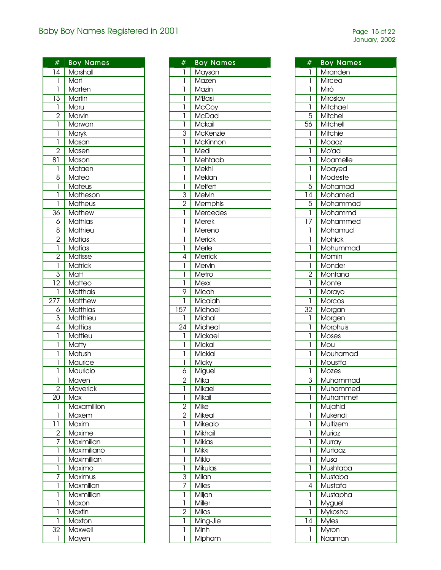| #               | <b>Boy Names</b> |
|-----------------|------------------|
| 14              | Marshall         |
| $\mathbf{I}$    | Mart             |
| $\mathbf{1}$    | Marten           |
| $\overline{13}$ | <b>Martin</b>    |
| $\mathbf{I}$    | Maru             |
| $\overline{2}$  | Marvin           |
| $\overline{1}$  | Marwan           |
| ī               | Maryk            |
| 1               | Masan            |
| $\overline{2}$  | Masen            |
|                 |                  |
| 81              | Mason            |
| 1               | Mataen           |
| 8               | Mateo            |
| 1               | Mateus           |
| ľ               | Matheson         |
| 1               | <b>Matheus</b>   |
| $\overline{36}$ | <b>Mathew</b>    |
| 6               | <b>Mathias</b>   |
| $\overline{8}$  | Mathieu          |
| $\frac{2}{ }$   | <b>Matias</b>    |
| ī               | Matías           |
| $\overline{2}$  | Matisse          |
| $\mathbf{I}$    | <b>Matrick</b>   |
| 3               | Matt             |
| 12              | Matteo           |
| 1               | Matthais         |
| 277             | <b>Matthew</b>   |
| 6               | Matthias         |
| $\overline{3}$  | Matthieu         |
| $\overline{4}$  | Mattias          |
| $\mathbf{I}$    |                  |
| 1               | Mattieu          |
|                 | Matty            |
| 1               | Matush           |
| 1               | Maurice          |
| 1               | Mauricio         |
| 1               | Maven            |
| $\overline{2}$  | Maverick         |
| 20              | Max              |
| 1               | Maxamillion      |
| 1               | Maxem            |
| 11              | Maxim            |
| $\overline{2}$  | Maxime           |
| 7               | Maximilian       |
| 1               | Maximiliano      |
| 1               | Maximillian      |
| 1               | Maximo           |
| 7               | Maximus          |
| 1               | Maxmilian        |
| 1               | Maxmillian       |
| 1               | Maxon            |
| 1               | Maxtin           |
| 1               | Maxton           |
| 32              | Maxwell          |
| 1               |                  |
|                 | Mayen            |

| #              | <b>Boy Names</b> |
|----------------|------------------|
| I              | Mayson           |
| 1              | Mazen            |
| 1              | Mazin            |
| 1              | M'Basi           |
| 1              | McCoy            |
| 1              | <b>McDad</b>     |
| 1              | Mckail           |
| 3              | McKenzie         |
| 1              | McKinnon         |
| 1              | Medi             |
| 1              | Mehtaab          |
| 1              | Mekhi            |
| 1              | Mekian           |
| 1              | Melfert          |
| 3              | Melvin           |
| $\overline{2}$ | Memphis          |
| ľ              | Mercedes         |
| 1              | Merek            |
| 1              | Mereno           |
| 1              |                  |
|                | Merick<br>Merle  |
| 1<br>4         |                  |
|                | Merrick          |
| 1              | Mervin           |
| 1              | Metro            |
| 1              | Mexx             |
| 9              | Micah            |
| 1              | Micaiah          |
| 157            | Michael          |
| 1              | Michal           |
| 24             | Micheal          |
| 1              | Mickael          |
| 1              | Mickal           |
| 1              | Mickial          |
| 1              | Micky            |
| 6              | Miguel           |
| ة              | Mika             |
| 1              | Mikael           |
| 1              | Mikail           |
| $\overline{c}$ | Mike             |
| $\overline{c}$ | Mikeal           |
| 1              | Mikealo          |
| 1              | Mikhail          |
| 1              | Mikias           |
| 1              | Mikki            |
| 1              | Miklo            |
| 1              | Mikulas          |
| 3              | Milan            |
| 7              | Miles            |
| 1              | Miljan           |
| 1              | Miller           |
| 2              | Milos            |
| 1              | Ming-Jie         |
| I              | Minh             |
| 1              | Mipham           |

| #                       | <b>Boy Names</b>  |
|-------------------------|-------------------|
| 1                       | Miranden          |
| 1                       | Mircea            |
| ľ                       | $Mir\overline{6}$ |
|                         |                   |
| 1                       | Miroslav          |
| 1                       | Mitchael          |
| 5                       | Mitchel           |
| 56                      | Mitchell          |
| 1                       | Mitchie           |
| 1                       | Moaaz             |
| 1                       | Mo'ad             |
| l                       | Moamelle          |
| 1                       | Moayed            |
| $\overline{\mathbf{I}}$ | Modeste           |
| $\overline{5}$          | Mohamad           |
| 14                      | Mohamed           |
| 5                       | Mohammad          |
| 1                       | Mohammd           |
| 17                      | Mohammed          |
| 1                       | Mohamud           |
| 1                       | Mohick            |
| 1                       | Mohummad          |
| 1                       | Momin             |
|                         |                   |
| 1                       | Monder            |
| $\overline{2}$          | Montana           |
| ī                       | Monte             |
| 1                       | Morayo            |
| 1                       | Morcos            |
| 32                      | Morgan            |
| 1                       | Morgen            |
| 1                       | Morphuis          |
| 1                       | Moses             |
| 1                       | Mou               |
| 1                       | Mouhamad          |
| 1                       | Moustfa           |
| 1                       | Mozes             |
| 3                       | Muhammad          |
| 1                       | Muhammed          |
| 1                       | Muhammet          |
| 1                       | Mujahid           |
| 1                       | Mukendi           |
| 1                       | Multizem          |
| 1                       | Muriaz            |
| 1                       | Murray            |
| 1                       | Murtaaz           |
| 1                       | Musa              |
| 1                       | Mushtaba          |
| 1                       | Mustaba           |
| 4                       | Mustafa           |
| 1                       | Mustapha          |
| 1                       |                   |
|                         | Myguel            |
| 1                       | Mykosha           |
| 14                      | <b>Myles</b>      |
| 1                       | Myron             |
| 1                       | <u>Naaman</u>     |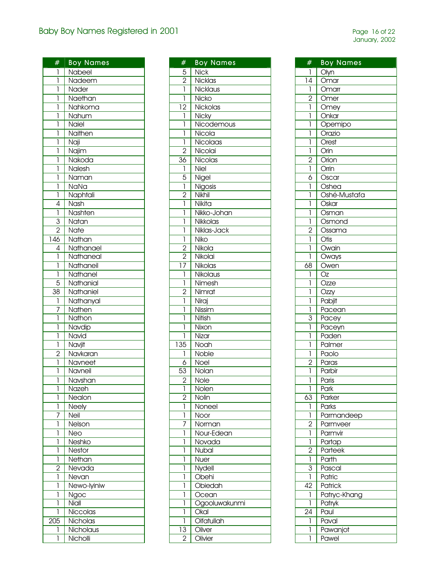| #                | <b>Boy Names</b> |
|------------------|------------------|
|                  |                  |
| ı                | Nabeel           |
| 1                | Nadeem           |
| ľ                | Nader            |
| ľ                | Naethan          |
| ľ                | Nahkoma          |
| ľ                | Nahum            |
| ľ                | Naiel            |
| 1                | Naithen          |
| ľ                | Naji             |
| ľ                | Najim            |
| ī                | Nakoda           |
| ī                | Nalesh           |
| ī                | Naman            |
| ľ                | NaNa             |
| ī                | Naphtali         |
|                  |                  |
| $\overline{4}$   | Nash             |
| $\overline{1}$   | Nashten          |
| $\frac{3}{2}$    | Natan            |
|                  | Nate             |
| $\overline{146}$ | Nathan           |
| $\overline{4}$   | Nathanael        |
| $\overline{1}$   | Nathaneal        |
| $\overline{1}$   | Nathaneil        |
| ī                | Nathanel         |
| $\overline{5}$   | Nathanial        |
| $\overline{38}$  | Nathaniel        |
| ī                | Nathanyal        |
| 7                | Nathen           |
| ī                | Nathon           |
| ľ                | Navdip           |
| Ī                | Navid            |
| ī                | Navjit           |
| $\overline{2}$   |                  |
| ī                | Navkaran         |
|                  | Navneet          |
| ı                | Navneil          |
| 1                | Navshan          |
| ī                | Nazeh            |
| 1                | Nealon           |
| l                | <b>Neely</b>     |
| 7                | Neil             |
| 1                | Nelson           |
| 1                | Neo              |
| 1                | Neshko           |
| 1                | Nestor           |
| 1                | Nethan           |
| $\overline{2}$   | Nevada           |
| 1                | Nevan            |
| 1                | Newo-lyiniw      |
| l                | Ngoc             |
| l                | Niall            |
| 1                |                  |
|                  | Niccolas         |
| 205              | Nicholas         |
| 1                | Nicholaus        |
| 1                | Nicholli         |

| #                                | <b>Boy Names</b> |
|----------------------------------|------------------|
| 5                                | <b>Nick</b>      |
| $\overline{2}$                   | Nicklas          |
| 1                                | Nicklaus         |
| 1                                | Nicko            |
| 12                               | Nickolas         |
| 1                                | Nicky            |
| 1                                | Nicodemous       |
| 1                                | Nicola           |
| 1                                | Nicolaas         |
| $\overline{2}$                   | Nicolai          |
| 36                               | Nicolas          |
| 1                                | Niel             |
| 5                                | Nigel            |
| 1                                | Nigosis          |
| $\overline{2}$                   | Nikhil           |
| 1                                | Nikita           |
| 1                                | Nikko-Johan      |
| 1                                | Nikkolas         |
| 1                                | Niklas-Jack      |
|                                  |                  |
| 1                                | Niko             |
| $\overline{2}$<br>$\overline{2}$ | Nikola           |
|                                  | Nikolai          |
| 17                               | Nikolas          |
| 1                                | Nikolaus         |
| 1                                | Nimesh           |
| $\overline{2}$                   | Nimrat           |
| 1                                | Niraj            |
| 1                                | Nissim           |
| 1                                | Nitish           |
| 1                                | Nixon            |
| 1                                | Nizar            |
| 135                              | Noah             |
| 1                                | Noble            |
| 6                                | Noel             |
| $\overline{53}$                  | Nolan            |
| $\overline{c}$                   | Nole             |
| 1                                | Nolen            |
| 2                                | Nolin            |
| 1                                | Noneel           |
| 1                                | Noor             |
| 7                                | Norman           |
| 1                                | Nour-Edean       |
| 1                                | Novada           |
| 1                                | Nubal            |
| 1                                | Nuer             |
| 1                                | Nydell           |
| 1                                | Obehi            |
| 1                                | Obiedah          |
| 1                                | Ocean            |
| 1                                | Ogooluwakunmi    |
| 1                                | Okal             |
| 1                                | Olfatullah       |
| 13                               | Oliver           |
| $\overline{2}$                   | Olivier          |
|                                  |                  |

| #<br><b>Boy Names</b><br>Olyn<br>1<br>$\overline{14}$<br>Omar |  |
|---------------------------------------------------------------|--|
|                                                               |  |
|                                                               |  |
| ī<br>Omarr                                                    |  |
| Omer                                                          |  |
| $\frac{2}{1}$<br>Omey                                         |  |
| l<br>Onkar                                                    |  |
| 1<br>Opemipo                                                  |  |
| 1<br>Orazio                                                   |  |
| Ī<br>Orest                                                    |  |
| ī<br>Orin                                                     |  |
| Orion                                                         |  |
| $\frac{2}{1}$<br>Orrin                                        |  |
| $\overline{6}$<br>Oscar                                       |  |
| $\overline{1}$<br>Oshea                                       |  |
| Oshé-Mustafa<br>1                                             |  |
| $\overline{O}$ skar<br>1                                      |  |
| ľ<br>Osman                                                    |  |
| 1<br>Osmond                                                   |  |
| $\overline{2}$<br>Ossama                                      |  |
| ī<br>$\overline{O}$ tis                                       |  |
| Owain<br>1                                                    |  |
| Oways<br>ľ                                                    |  |
| 68<br>Owen                                                    |  |
| $\overline{Oz}$<br>1                                          |  |
| Ozze<br>1                                                     |  |
| Ozzy<br>1                                                     |  |
| Ī<br>Pabjit                                                   |  |
| ī<br>Pacean                                                   |  |
| 3<br>Pacey                                                    |  |
| 1<br>Paceyn                                                   |  |
| l<br>Paden                                                    |  |
| 1<br>Palmer                                                   |  |
| 1<br>Paolo                                                    |  |
| Paras                                                         |  |
| $\frac{2}{1}$<br>Parbir                                       |  |
| 1<br><b>Paris</b>                                             |  |
| 1<br>Park                                                     |  |
| 63<br>Parker                                                  |  |
| 1<br>Parks                                                    |  |
| 1<br>Parmandeep                                               |  |
| $\overline{2}$<br>Parmveer                                    |  |
| 1<br>Parmvir                                                  |  |
| 1<br>Partap                                                   |  |
| $\overline{2}$<br>Parteek                                     |  |
| ī<br>Parth                                                    |  |
| $\overline{3}$<br>Pascal                                      |  |
| Patric<br>1                                                   |  |
| $\overline{42}$<br>Patrick                                    |  |
| Patryc-Khang<br>1                                             |  |
| Patryk<br>1                                                   |  |
| $\overline{2}4$<br>Paul                                       |  |
|                                                               |  |
|                                                               |  |
| 1<br>Paval<br>1<br>Pawanjot                                   |  |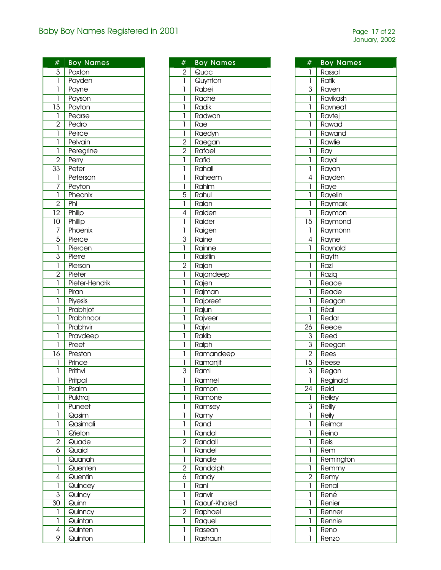| #               | <b>Boy Names</b> |
|-----------------|------------------|
| $\frac{3}{1}$   | Paxton           |
|                 | Payden           |
| ī               | Payne            |
| $\mathbf{I}$    | Payson           |
| $\overline{13}$ | Payton           |
| $\mathbf{I}$    | Pearse           |
| $\overline{2}$  | Pedro            |
| ī               | Peirce           |
| ī               | Pelvain          |
| $\overline{1}$  | Peregrine        |
| $\overline{2}$  | Perry            |
| $\overline{33}$ | Peter            |
| $\mathbf{I}$    | Peterson         |
| $\overline{7}$  | Peyton           |
| ī               | Pheonix          |
| $\overline{2}$  | Phi              |
| $\overline{12}$ | Philip           |
| $\overline{10}$ | Phillip          |
| 7               | Phoenix          |
|                 | Pierce           |
| $\frac{5}{1}$   | Piercen          |
| $\overline{3}$  | Pierre           |
| 1               | Pierson          |
| $\overline{2}$  | Pieter           |
| 1               | Pieter-Hendrik   |
| 1               | Piran            |
| 1               | Piyesis          |
| 1               | Prabhjot         |
| 1               | Prabhnoor        |
| 1               | Prabhvir         |
| 1               | Pravdeep         |
| 1               | Preet            |
| 16              | Preston          |
| 1               | Prince           |
| 1               | Prithvi          |
| 1               | Pritpal          |
| 1               | Psalm            |
| 1               | Pukhraj          |
| 1               | Puneet           |
| 1               | Qasim            |
| 1               | Qasimali         |
| 1               | Q'ielon          |
| $\overline{c}$  | Quade            |
| 6               | Quaid            |
| 1               | Quanah           |
| 1               | Quenten          |
| 4               | Quentin          |
| 1               | Quincey          |
| 3               | Quincy           |
| 30              | Quinn            |
| 1               | Quinncy          |
| 1               | Quintan          |
| 4               | Quinten          |
| 9               | Quinton          |
|                 |                  |

| #                                | <b>Boy Names</b> |
|----------------------------------|------------------|
| $\overline{2}$                   | Quoc             |
| $\overline{1}$                   | Quynton          |
| 1                                | Rabei            |
| ľ                                | Rache            |
| l                                | Radik            |
| l                                | Radwan           |
| 1                                | Rae              |
| 1                                | Raedyn           |
|                                  |                  |
| $\overline{2}$<br>$\overline{2}$ | Raegan<br>Rafael |
|                                  |                  |
| 1                                | Rafid            |
| 1                                | Rahall           |
| 1                                | Raheem           |
| 1                                | Rahim            |
| $\overline{5}$                   | Rahul            |
| ī                                | Raian            |
| $\overline{4}$                   | Raiden           |
| 1                                | Raider           |
| ī                                | Raigen           |
| 3                                | Raine            |
| ī                                | Rainne           |
| 1                                | Raistlin         |
| $\overline{2}$                   | Rajan            |
| 1                                | Rajandeep        |
| 1                                | Rajen            |
| l                                | Rajman           |
| l                                | Rajpreet         |
| l                                | Rajun            |
| l                                | Rajveer          |
| l                                |                  |
|                                  | Rajvir           |
| 1<br>1                           | Rakib            |
|                                  | Ralph            |
| 1                                | Ramandeep        |
| 1                                | Ramanjit         |
| 3                                | Rami             |
| 1                                | Ramnel           |
| 1                                | Ramon            |
| 1                                | Ramone           |
| 1                                | Ramsey           |
| 1                                | Ramy             |
| 1                                | Rand             |
| 1                                | Randal           |
| $\overline{2}$                   | Randall          |
| 1                                | Randel           |
| 1                                | Randle           |
| $\overline{c}$                   | Randolph         |
| 6                                | Randy            |
| 1                                | Rani             |
| 1                                | Ranvir           |
| 1                                | Raouf-Khaled     |
| $\overline{c}$                   | Raphael          |
| 1                                | Raquel           |
| 1                                | Rasean           |
| 1                                | Rashaun          |
|                                  |                  |

| #               | <b>Boy Names</b> |
|-----------------|------------------|
|                 |                  |
| I               | Rassal           |
| 1               | Ratik            |
| 3               | Raven            |
| 1               | Ravikash         |
| 1               | Ravneat          |
| 1               | Ravtej           |
| l               | Rawad            |
| 1               | Rawand           |
| 1               | Rawlie           |
| 1               | Ray              |
| 1               | Rayal            |
| 1               | Rayan            |
| 4               | Rayden           |
| 1               | Raye             |
| 1               | Rayelin          |
| 1               | Raymark          |
| 1               | Raymon           |
| 15              | Raymond          |
| 1               | Raymonn          |
| 4               | Rayne            |
| 1               | Raynold          |
| 1               | Rayth            |
|                 |                  |
| l               | Razi             |
| l               | Raziq            |
| 1               | Reace            |
| 1               | Reade            |
| 1               | Reagan           |
| 1               | Rèal             |
| 1               | Redar            |
| $2\overline{6}$ | Reece            |
| $\mathbf{3}$    | Reed             |
| $\overline{3}$  | Reegan           |
| $\overline{2}$  | Rees             |
| $\overline{15}$ | Reese            |
| $\overline{3}$  | Regan            |
| 1               | Reginald         |
| 24              | Reid             |
| 1               | Reiley           |
| 3               | <b>Reilly</b>    |
| 1               | Reily            |
| 1               | Reimar           |
| 1               | Reino            |
| 1               | Reis             |
| 1               | Rem              |
| 1               | Remington        |
| 1               | Remmy            |
| $\overline{2}$  | Remy             |
| 1               | Renal            |
| l               | René             |
| l               | Renier           |
| 1               | Renner           |
| 1               | Rennie           |
| 1               | Reno             |
| 1               |                  |
|                 | Renzo            |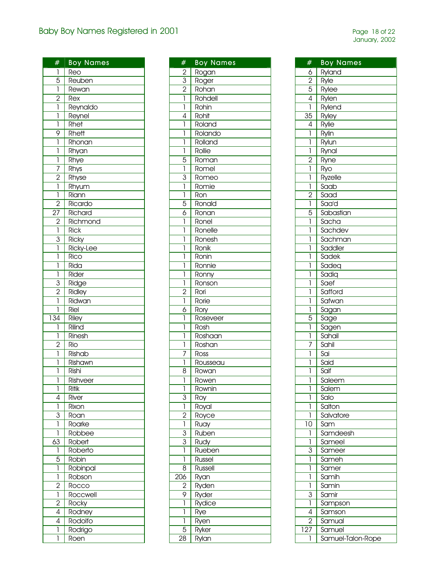|                     | <b>Boy Names</b> |
|---------------------|------------------|
| #                   |                  |
| 1                   | Reo              |
| $\overline{5}$      | Reuben           |
| 1                   | Rewan            |
| $\overline{2}$      | Rex              |
| $\overline{1}$      | Reynaldo         |
| ī                   | Reynel           |
| Ī                   | Rhet             |
| 9                   | Rhett            |
| 1                   | Rhonan           |
| 1                   | Rhyan            |
| $\overline{1}$      | Rhye             |
| $\overline{7}$      | Rhys             |
| $\overline{2}$      | Rhyse            |
| 1                   | Rhyum            |
| 1                   | Riann            |
| $\overline{c}$      | Ricardo          |
| $\overline{27}$     | Richard          |
|                     | Richmond         |
| $\frac{2}{1}$       | <b>Rick</b>      |
| $\overline{3}$      | <b>Ricky</b>     |
| ī                   | Ricky-Lee        |
| 1                   | Rico             |
| 1                   | Rida             |
| 1                   | Rider            |
| 3                   | Ridge            |
| $\overline{2}$      | Ridley           |
| 1                   |                  |
| 1                   | Ridwan           |
|                     | Riel             |
| 134                 | Riley            |
| 1                   | Rilind           |
| 1<br>$\overline{2}$ | Rinesh           |
|                     | Rio              |
| 1                   | Rishab           |
| 1                   | Rishawn          |
| 1                   | Rishi            |
| 1                   | Rishveer         |
| 1                   | Ritik            |
| 4                   | River            |
| 1                   | Rixon            |
| 3                   | Roan             |
| 1                   | Roarke           |
| 1                   | Robbee           |
| 63                  | Robert           |
| 1                   | Roberto          |
| 5                   | Robin            |
| 1                   | Robinpal         |
| 1                   | Robson           |
| $\overline{c}$      | Rocco            |
| 1                   | Roccwell         |
| $\overline{2}$      | Rocky            |
| 4                   | Rodney           |
| 4                   | Rodolfo          |
| 1                   | Rodrigo          |
| 1                   | Roen             |
|                     |                  |

| #              | <b>Boy Names</b> |
|----------------|------------------|
| $\overline{2}$ | Rogan            |
| $\overline{3}$ | Roger            |
| $\overline{2}$ | Rohan            |
| ī              | Rohdell          |
| $\overline{1}$ | Rohin            |
| 4              | Rohit            |
| 1              | Roland           |
| 1              | Rolando          |
| 1              | Rolland          |
| 1              | Rollie           |
| 5              | Roman            |
| 1              | Romel            |
| $\overline{3}$ | Romeo            |
| 1              | Romie            |
| 1              | Ron              |
| $\overline{5}$ | Ronald           |
| 6              | Ronan            |
| 1              | Ronel            |
| 1              | Ronelle          |
| l              | Ronesh           |
| l              | Ronik            |
| l              | Ronin            |
|                |                  |
| 1              | Ronnie           |
| 1              | Ronny            |
| 1              | Ronson           |
| $\overline{2}$ | Rori             |
| 1              | Rorie            |
| 6              | Rory             |
| 1              | Roseveer         |
| 1              | Rosh             |
| 1              | Roshaan          |
| 1              | Roshan           |
| 7              | Ross             |
| 1              | Rousseau         |
| 8              | Rowan            |
| Ī              | Rowen            |
| 1              | Rownin           |
| 3              | Roy              |
| 1              | Royal            |
| $\overline{2}$ | Royce            |
| 1              | Ruay             |
| $\overline{3}$ | Ruben            |
| $\overline{3}$ | Rudy             |
| 1              | Rueben           |
| 1              | Russel           |
| $\overline{8}$ | Russell          |
| 206            | Ryan             |
| $\overline{c}$ | Ryden            |
| 9              | Ryder            |
| 1              | Rydice           |
| 1              | Rye              |
| 1              | Ryen             |
| 5              | Ryker            |
| 28             | Rylan            |

| $\#$                                | <b>Boy Names</b>  |
|-------------------------------------|-------------------|
|                                     | <b>Ryland</b>     |
| $rac{6}{2}$ $rac{2}{4}$ $rac{4}{1}$ | Ryle              |
|                                     | Rylee             |
|                                     | Rylen             |
|                                     | Rylend            |
| $\overline{35}$                     |                   |
| $\overline{4}$                      | Ryley             |
|                                     | Rylie             |
| 1                                   | Rylin             |
| ī                                   | Rylun             |
| ī                                   | Rynal             |
| $\frac{2}{1}$                       | Ryne              |
|                                     | Ryo               |
| ī                                   | Ryzelle           |
| ī                                   | Saab              |
| $\frac{2}{1}$                       | Saad              |
|                                     | Saa'd             |
| $\frac{5}{1}$                       | Sabastian         |
|                                     | Sacha             |
| ī                                   | Sachdev           |
| ľ                                   | Sachman           |
| ľ                                   | Saddler           |
| ľ                                   | Sadek             |
| ī                                   | Sadeg             |
| ī                                   | Sadiq             |
| 1                                   | Saef              |
| 1                                   | Safford           |
| 1                                   | Safwan            |
| ľ                                   | Sagan             |
| 5                                   | Sage              |
| ī                                   | Sagen             |
| ī                                   | Sahail            |
| 7                                   | Sahil             |
| 1                                   | Sai               |
| 1                                   | Said              |
| 1                                   | Saif              |
|                                     |                   |
| ı                                   | Saleem            |
| 1                                   | Salem             |
| 1                                   | Salo              |
| 1                                   | Salton            |
| 1                                   | Salvatore         |
| 10                                  | Sam               |
| 1                                   | Samdeesh          |
| 1                                   | Sameel            |
| 3                                   | Sameer            |
| 1                                   | Sameh             |
| 1                                   | Samer             |
| 1                                   | Samih             |
| 1                                   | Samin             |
| $\overline{3}$                      | Samir             |
| l                                   | Sampson           |
| 4                                   | Samson            |
| $\overline{2}$                      | Samual            |
| $\overline{127}$                    | Samuel            |
| 1                                   | Samuel-Talon-Rope |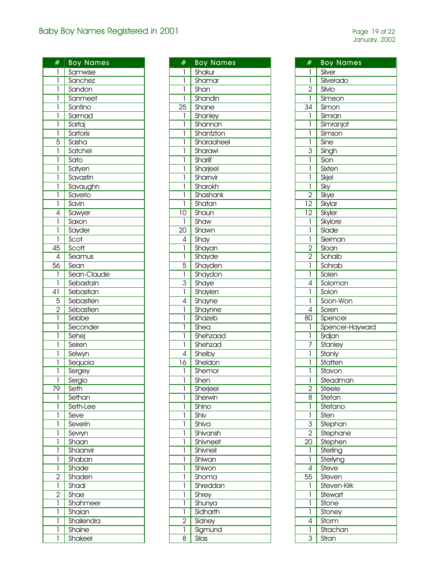| #               | <b>Boy Names</b> |
|-----------------|------------------|
| 1               | Samwise          |
| ī               | Sanchez          |
| $\overline{1}$  | Sandon           |
| ī               | Sanmeet          |
| 1               | Santino          |
| 1               | Sarmad           |
| ī               | Sartaj           |
| $\overline{1}$  | Sartoris         |
|                 | Sasha            |
| $rac{5}{1}$     | Satchel          |
|                 |                  |
| ī               | Sato             |
| ī               | Satyen           |
| ī               | Savastin         |
| ī               | Savaughn         |
| ī               | Saverio          |
| ī               | Savin            |
| $\overline{4}$  | Sawyer           |
| $\overline{1}$  | Saxon            |
| ī               |                  |
|                 | Sayder           |
| ī               | Scot             |
| $\overline{45}$ | Scott            |
| $\overline{4}$  | Seamus           |
| $\overline{56}$ | Sean             |
| ľ               | Sean-Claude      |
| ī               | Sebastain        |
| 41              | Sebastian        |
|                 | Sebastien        |
| $\frac{5}{2}$   | Sébastien        |
|                 | Sebbe            |
| $\overline{1}$  |                  |
|                 | Seconder         |
| ī               | Sehej            |
| ī               | Seiren           |
| ī               | Selwyn           |
| ī               | Sequoia          |
| ī               | Sergey           |
| 1               | Sergio           |
| 79              | Seth             |
| 1               | Sethan           |
| 1               | Seth-Lee         |
| 1               | Seve             |
| 1               | Severin          |
|                 |                  |
| l               | Sevryn           |
| l               | Shaan            |
| l               | Shaanvir         |
| 1               | Shaban           |
| ī               | Shade            |
| $\frac{2}{1}$   | Shaden           |
|                 | Shadi            |
| $\overline{2}$  | Shae             |
| 1               | Shahmeer         |
| 1               | Shaian           |
|                 |                  |
| 1               | Shailendra       |
| 1               | Shaine           |
| 1               | Shakeel          |

| #               | <b>Boy Names</b> |
|-----------------|------------------|
| I               | Shakur           |
| 1               | Shamar           |
| 1               | Shan             |
| 1               | Shandin          |
| $\overline{25}$ | Shane            |
| 1               | Shanley          |
| 1               | Shannon          |
| l               | Shantzton        |
| 1               | Sharaaheel       |
| l               | Sharawi          |
| l               | Shariif          |
| l               | Sharjeel         |
| 1               | Sharnvir         |
| 1               | Sharokh          |
| 1               | Shashank         |
| 1               | Shatan           |
| $\overline{10}$ | Shaun            |
| 1               | Shaw             |
| $\overline{20}$ | Shawn            |
|                 |                  |
| 4               | Shay             |
| 1               | Shayan           |
| ī               | Shayde           |
| 5               | Shayden          |
| ī               | Shaydon          |
| $rac{3}{1}$     | Shaye            |
|                 | Shaylen          |
| 4               | Shayne           |
| 1               | Shaynne          |
| 1               | Shazeb           |
| 1               | Shea             |
| 1               | Shehzaad         |
| 1               | Shehzad          |
| 4               | Shelby           |
| 16              | Sheldon          |
| 1               | Shemor           |
| 1               | Shen             |
| 1               | Sherjeel         |
| 1               | Sherwin          |
| 1               | Shino            |
| 1               | Shiv             |
| 1               | Shiva            |
| 1               | Shivansh         |
| 1               | Shivneet         |
| 1               | Shivneil         |
| 1               | Shiwan           |
| 1               | Shiwon           |
| 1               | Shoma            |
| 1               | Shreddan         |
| 1               | Shrey            |
| 1               | Shunya           |
| 1               | Sidharth         |
| 2               | Sidney           |
| 1               | Sigmund          |
| 8               | Silas            |

| #                       | <b>Boy Names</b> |
|-------------------------|------------------|
| 1                       | Silver           |
| $\overline{1}$          | Silverado        |
| $\overline{2}$          | Silvio           |
| 1                       |                  |
| 34                      | Simeon           |
|                         | Simon            |
| 1                       | Simran           |
| 1                       | Simranjot        |
| 1                       | Simson           |
| 1                       | Sine             |
| 3                       | Singh            |
| 1                       | Sion             |
| 1                       | Sixten           |
| 1                       | Skjel            |
| $\overline{\mathbf{I}}$ | Sky              |
| $\overline{2}$          | Skye             |
| $\overline{12}$         | Skylar           |
| $\overline{12}$         | Skyler           |
| $\mathbf{I}$            | Skylore          |
| 1                       | Slade            |
| 1                       | Sleiman          |
| $\overline{2}$          | Sloan            |
| $\overline{2}$          | Sohaib           |
| ī                       | Sohrab           |
| $\overline{1}$          | Solen            |
| 4                       | Solomon          |
| 1                       | Solon            |
| 1                       | Soon-Won         |
| 4                       | Soren            |
| 80                      | Spencer          |
| 1                       | Spencer-Hayward  |
| 1                       | Srdjan           |
| 7                       | Stanley          |
| 1                       | Stanly           |
| 1                       | Statten          |
| 1                       | Stavon           |
| I                       | Steadman         |
| $\overline{2}$          | Steele           |
| $\overline{8}$          | Stefan           |
| 1                       | Stefano          |
| 1                       | Sten             |
| 3                       | Stephan          |
|                         |                  |
| $\overline{2}$          | Stephane         |
| $\overline{2}0$         | Stephen          |
| 1                       | Sterling         |
| 1                       | Sterlyng         |
| 4                       | Steve            |
| 55                      | Steven           |
| 1                       | Steven-Kirk      |
| 1                       | Stewart          |
| 1                       | Stone            |
| 1                       | Stoney           |
| 4                       | Storm            |
| 1                       | Strachan         |
| 3                       | Stran            |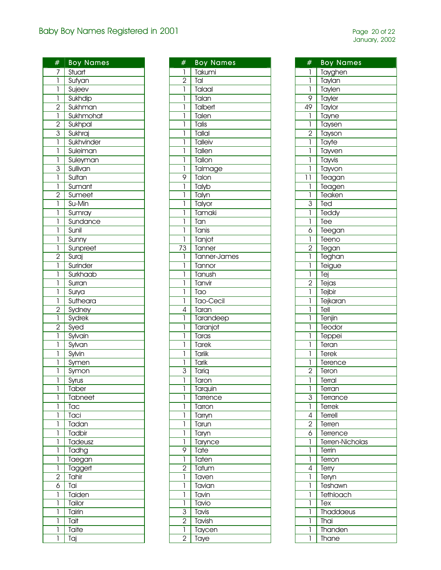| #              | <b>Boy Names</b> |
|----------------|------------------|
| $\overline{1}$ | Stuart           |
| $\overline{1}$ | Sufyan           |
| ī              | Sujeev           |
| ī              | Sukhdip          |
| $\overline{2}$ | Sukhman          |
| $\overline{1}$ | Sukhmohat        |
| $\overline{2}$ | Sukhpal          |
|                | Sukhraj          |
| $rac{3}{1}$    | Sukhvinder       |
| 1              | Suleiman         |
| 1              | Suleyman         |
| $\overline{3}$ | Sullivan         |
| 1              | Sultan           |
| 1              | Sumant           |
| $\overline{2}$ | Sumeet           |
| ī              | Su-Min           |
| 1              | Sumray           |
| 1              | Sundance         |
| 1              | Sunil            |
|                |                  |
| 1              | Sunny            |
| 1              | Sunpreet         |
| $\overline{2}$ | Suraj            |
| 1              | Surinder         |
| 1              | Surkhaab         |
| 1              | Surran           |
| 1              | Surya            |
| 1              | Sutheara         |
| $\frac{1}{2}$  | Sydney           |
| ī              | Sydrek           |
| $\overline{2}$ | Syed             |
| 1              | Sylvain          |
| 1              | Sylvan           |
| ľ              | Sylvin           |
| 1              | Symen            |
| 1              | Symon            |
| 1              | Syrus            |
| 1              | Taber            |
| 1              | Tabneet          |
| 1              | Tac              |
| 1              | Taci             |
| 1              | Tadan            |
| 1              | Tadbir           |
| 1              | Tadeusz          |
| 1              | Tadhg            |
| 1              | Taegan           |
| 1              | Taggert          |
| $\frac{1}{2}$  | Tahir            |
| 6              | Tai              |
| 1              | Taiden           |
| 1              | Tailor           |
| 1              | Tairin           |
| 1              | Tait             |
| 1              | Taite            |
| 1              | Taj              |
|                |                  |

| #              | <b>Boy Names</b> |
|----------------|------------------|
| 1              | Takumi           |
| $\overline{2}$ | Tal              |
| 1              | Talaal           |
| 1              | Talan            |
| 1              | Talbert          |
| 1              | Talen            |
| 1              | Talis            |
| l              | Tallal           |
| l              | <b>Talleiv</b>   |
| 1              | Tallen           |
| 1              | Tallon           |
| 1              | Talmage          |
| 9              | Talon            |
| 1              | Talyb            |
| 1              | Talyn            |
| 1              | Talyor           |
| 1              | Tamaki           |
| 1              | Tan              |
| 1              | Tanis            |
|                |                  |
| 1              | Tanjot           |
| 73<br>1        | Tanner           |
|                | Tanner-James     |
| 1              | Tannor           |
| 1              | Tanush           |
| 1              | Tanvir           |
| 1              | Tao              |
| 1              | Tao-Cecil        |
| 4              | Taran            |
| 1              | Tarandeep        |
| 1              | Taranjot         |
| 1              | Taras            |
| 1              | Tarek            |
| 1              | Tariik           |
| 1              | Tarik            |
| 3              | Tariq            |
| Ī              | Taron            |
| 1              | Tarquin          |
| 1              | Tarrence         |
| 1              | Tarron           |
| 1              | Tarryn           |
| 1              | Tarun            |
| 1              | Taryn            |
| 1              | Tarynce          |
| 9              | Tate             |
| 1              | Taten            |
| $\overline{2}$ | Tatum            |
| 1              | Taven            |
| 1              | Tavian           |
| 1              | Tavin            |
| 1              | Tavio            |
| $\overline{3}$ | Tavis            |
| $\overline{2}$ | Tavish           |
| 1              | Taycen           |
| $\overline{2}$ | Taye             |

| #                       | <b>Boy Names</b> |
|-------------------------|------------------|
| I                       | Tayghen          |
| ľ                       | Taylan           |
| ī                       | <b>Taylen</b>    |
| 9                       | Tayler           |
| 49                      | <b>Taylor</b>    |
| $\overline{\mathbf{I}}$ | Tayne            |
| ī                       | Taysen           |
| $\overline{2}$          | Tayson           |
| ľ                       | Tayte            |
| l                       | Tayven           |
| 1                       | Tayvis           |
| 1                       | Tayvon           |
| 11                      | Teagan           |
| 1                       | Teagen           |
| ľ                       | Teaken           |
| $\overline{3}$          | Ted              |
| $\overline{1}$          | Teddy            |
| ī                       | Tee              |
| $\overline{6}$          | Teegan           |
| ī                       | Teeno            |
| $\overline{2}$          | Tegan            |
| Ì                       | <b>Teghan</b>    |
| 1                       | Teigue           |
| ī                       | Tej              |
| $\overline{2}$          | Tejas            |
| ī                       | Tejbir           |
| 1                       | Tejkaran         |
| 1                       | Tell             |
| 1                       | Tenjin           |
| l                       | Teodor           |
| l                       | <b>Teppei</b>    |
| 1                       | Teran            |
| 1                       | Terek            |
| 1                       | Terence          |
| $\overline{2}$          | Teron            |
| 1                       | Terral           |
| ī                       | Terran           |
| 3                       | Terrance         |
| $\overline{1}$          | Terrek           |
| 4                       | Terrell          |
| $\overline{2}$          | Terren           |
| $\overline{6}$          | Terrence         |
| ī                       | Terren-Nicholas  |
| 1                       | Terrin           |
| 1                       | Terron           |
| 4                       | Terry            |
| 1                       | Teryn            |
| 1                       | Teshawn          |
| 1                       | Tethloach        |
| 1                       | Tex              |
| 1                       | Thaddaeus        |
| 1                       | Thai             |
| 1                       | Thanden          |
| 1                       | Thane            |
|                         |                  |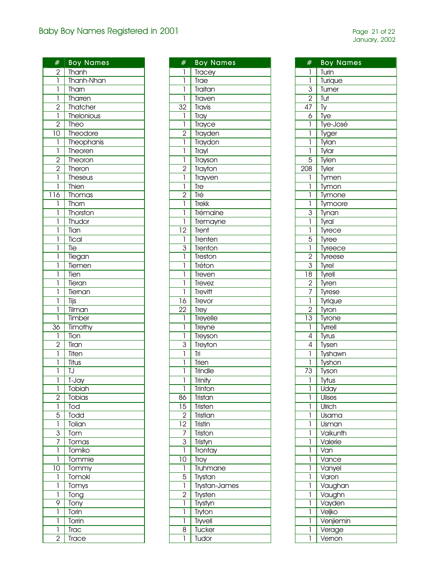| #                                     | <b>Boy Names</b>    |
|---------------------------------------|---------------------|
|                                       |                     |
| $\frac{2}{1}$                         | Thanh<br>Thanh-Nhan |
| ī                                     | Tharn               |
| 1                                     | Tharren             |
| $\overline{2}$                        | Thatcher            |
| $\overline{\mathbf{I}}$               | Thelonious          |
| $\overline{2}$                        | Theo                |
| 10                                    | Theodore            |
| $\begin{array}{c} \hline \end{array}$ | Theophanis          |
| $\overline{1}$                        | Theoren             |
| $\overline{2}$                        | Theoron             |
| $\overline{2}$                        | Theron              |
| ī                                     | Theseus             |
| ľ                                     | Thien               |
| 116                                   | Thomas              |
| 1                                     | Thorn               |
| 1                                     | Thorston            |
| 1                                     | Thudor              |
| 1                                     | Tian                |
| 1                                     | Tical               |
| 1                                     | Tie                 |
| 1                                     | Tiegan              |
| 1                                     | Tiemen              |
| Ī                                     | Tien                |
| Ī                                     | Tieran              |
| ľ                                     | Tiernan             |
| 1                                     | Tijs                |
| 1                                     | Tilman              |
| 1                                     | Timber              |
| 36                                    | Timothy             |
| 1                                     | <b>Tion</b>         |
| $\overline{c}$                        | Tiran               |
| ī                                     | Titen               |
| 1                                     | Titus               |
| 1                                     | IJ                  |
| 1                                     | T-Jay               |
| 1                                     | Tobiah              |
| $\overline{2}$                        | Tobias              |
| $\mathbf{I}$                          | Tod                 |
| 5                                     | Todd                |
| 1                                     | Tolian              |
| $\overline{3}$                        | Tom                 |
| 7                                     | Tomas               |
| 1                                     | Tomiko              |
| 1                                     | Tommie              |
| 10                                    | Tommy               |
| 1                                     | Tomoki              |
| 1                                     | Tomys               |
| 1                                     | Tong                |
| 9                                     | Tony                |
| 1                                     | Torin               |
| 1                                     | Torrin              |
| 1                                     | Trac                |
| 2                                     | Trace               |

| #               | <b>Boy Names</b> |
|-----------------|------------------|
| 1               | <b>Tracey</b>    |
| ľ               | Trae             |
| 1               | Traitan          |
| 1               | Traven           |
| $\overline{32}$ | Travis           |
| 1               | Tray             |
| ī               | Trayce           |
|                 | Trayden          |
| $\frac{2}{1}$   | Traydon          |
| ī               | Trayl            |
| $\overline{1}$  |                  |
| $\overline{2}$  | Trayson          |
| ī               | Trayton          |
|                 | Trayven          |
| ī               | Tre              |
| $\frac{2}{1}$   | Tré              |
|                 | <b>Trekk</b>     |
| 1               | Trémaine         |
| 1               | Trema <u>yne</u> |
| $\overline{12}$ | Trent            |
| $\overline{1}$  | Trenten          |
| $\frac{3}{1}$   | Trenton          |
|                 | Treston          |
| l               | Tréton           |
| l               | Treven           |
| l               | Trevez           |
| 1               | Trevitt          |
| $\overline{16}$ | Trevor           |
| $\overline{22}$ | <b>Trey</b>      |
| ī               | <b>Treyelle</b>  |
| 1               | Treyne           |
| ī               | Treyson          |
| $\overline{3}$  | Treyton          |
| ī               | Īri              |
| ī               | Trien            |
| Ī               | Trindle          |
| ī               | <b>Trinity</b>   |
| 1               | Trinton          |
| 86              | Tristan          |
| $\overline{15}$ | Tristen          |
| $\overline{2}$  | Tristian         |
| $\overline{12}$ | Tristin          |
| $\overline{7}$  | Triston          |
| $\overline{3}$  | Tristyn          |
| ī               | Trontay          |
| $\overline{10}$ | Troy             |
| $\overline{1}$  | Truhmane         |
| $\overline{5}$  | Trystan          |
| ī               | Trystan-James    |
| $\overline{2}$  | Trysten          |
| Ī               | Trystyn          |
| l               | Tryton           |
| l               | Tryvell          |
| 8               | <b>Tucker</b>    |
| ľ               | Tudor            |

| #                            | <b>Boy Names</b> |
|------------------------------|------------------|
| 1                            | Turin            |
| $\overline{1}$               | Turique          |
| $\frac{1}{3}$                | Turner           |
|                              |                  |
| $\overline{2}$               | Tut              |
| $\overline{47}$              | Ty               |
| $\overline{6}$               | Tye              |
| ī                            | Tye-José         |
| 1                            | Tyger            |
| 1                            | Tylan            |
| 1                            | Tylar            |
| 5                            | Tylen            |
| 208                          | Tyler            |
| 1                            | Tymen            |
| $\overline{1}$               | Tymon            |
| $\mathbf{I}$                 | Tymone           |
| ī                            | Tymoore          |
|                              | Tynan            |
| $\frac{3}{1}$                | Tyral            |
| $\overline{1}$               | Tyrece           |
| $\overline{5}$               | Tyree            |
| 1                            |                  |
| $\overline{2}$               | Tyreece          |
|                              | Tyreese          |
| $\frac{3}{18}$ $\frac{2}{7}$ | Tyrel            |
|                              | Tyrell           |
|                              | Tyren            |
|                              | Tyrese           |
| $\overline{1}$               | Tyrique          |
| $\overline{2}$               | Tyron            |
| $\overline{13}$              | Tyrone           |
| $\overline{1}$               | <b>Tyrrell</b>   |
| $\overline{4}$               | Tyrus            |
| $\overline{4}$               | Tysen            |
| 1                            | Tyshawn          |
| 1                            | Tyshon           |
| $7\overline{3}$              | Tyson            |
| I                            | Tytus            |
| 1                            | Uday             |
| 1                            | Ulises           |
| 1                            | Ulrich           |
| 1                            | Usama            |
| 1                            | Usman            |
| 1                            | Vaikunth         |
| 1                            | Valerie          |
| 1                            | Van              |
| 1                            | Vance            |
| 1                            | Vanyel           |
| 1                            |                  |
|                              | Varon            |
| 1                            | Vaughan          |
| 1                            | Vaughn           |
| 1                            | Vayden           |
| 1                            | Veljko           |
| 1                            | Venjiemin        |
| 1                            | Verage           |
| 1                            | Vernon           |